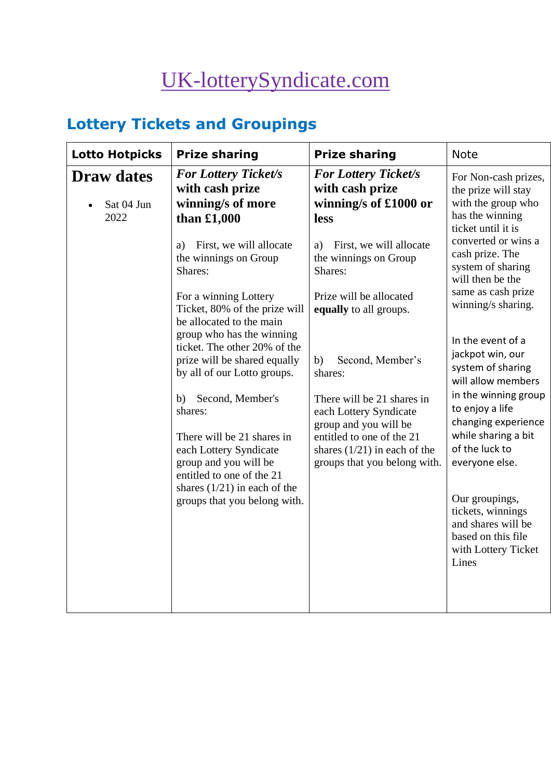# [UK-lotterySyndicate.com](http://www.uk-lotterysyndicate.com/)

# **Lottery Tickets and Groupings**

| <b>Lotto Hotpicks</b>                   | <b>Prize sharing</b>                                                                                            | <b>Prize sharing</b>                                                                                       | <b>Note</b>                                                                                                     |
|-----------------------------------------|-----------------------------------------------------------------------------------------------------------------|------------------------------------------------------------------------------------------------------------|-----------------------------------------------------------------------------------------------------------------|
| <b>Draw dates</b><br>Sat 04 Jun<br>2022 | <b>For Lottery Ticket/s</b><br>with cash prize<br>winning/s of more<br>than $£1,000$                            | <b>For Lottery Ticket/s</b><br>with cash prize<br>winning/s of £1000 or<br>less                            | For Non-cash prizes,<br>the prize will stay<br>with the group who<br>has the winning<br>ticket until it is      |
|                                         | First, we will allocate<br>a)<br>the winnings on Group<br>Shares:                                               | First, we will allocate<br>a)<br>the winnings on Group<br>Shares:                                          | converted or wins a<br>cash prize. The<br>system of sharing<br>will then be the                                 |
|                                         | For a winning Lottery<br>Ticket, 80% of the prize will<br>be allocated to the main<br>group who has the winning | Prize will be allocated<br>equally to all groups.                                                          | same as cash prize<br>winning/s sharing.                                                                        |
|                                         | ticket. The other 20% of the<br>prize will be shared equally<br>by all of our Lotto groups.                     | Second, Member's<br>b)<br>shares:                                                                          | In the event of a<br>jackpot win, our<br>system of sharing<br>will allow members                                |
|                                         | Second, Member's<br>b)<br>shares:<br>There will be 21 shares in                                                 | There will be 21 shares in<br>each Lottery Syndicate<br>group and you will be<br>entitled to one of the 21 | in the winning group<br>to enjoy a life<br>changing experience<br>while sharing a bit                           |
|                                         | each Lottery Syndicate<br>group and you will be<br>entitled to one of the 21                                    | shares $(1/21)$ in each of the<br>groups that you belong with.                                             | of the luck to<br>everyone else.                                                                                |
|                                         | shares $(1/21)$ in each of the<br>groups that you belong with.                                                  |                                                                                                            | Our groupings,<br>tickets, winnings<br>and shares will be<br>based on this file<br>with Lottery Ticket<br>Lines |
|                                         |                                                                                                                 |                                                                                                            |                                                                                                                 |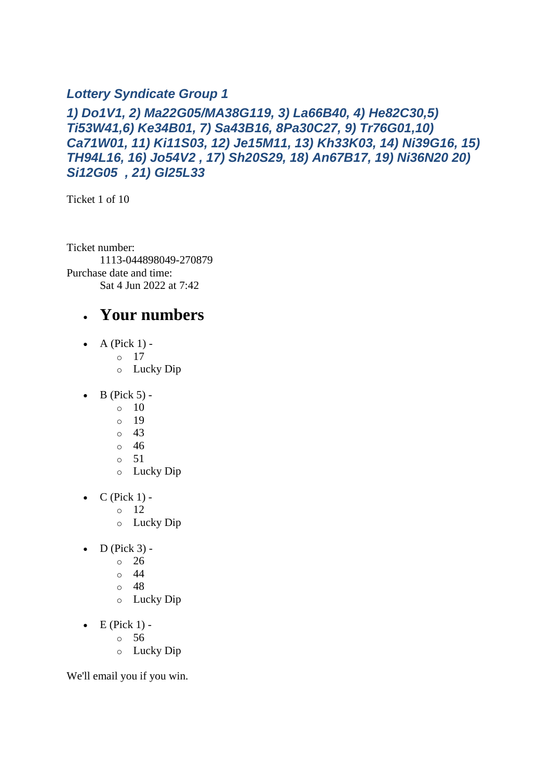#### *Lottery Syndicate Group 1*

#### *1) Do1V1, 2) Ma22G05/MA38G119, 3) La66B40, 4) He82C30,5) Ti53W41,6) Ke34B01, 7) Sa43B16, 8Pa30C27, 9) Tr76G01,10) Ca71W01, 11) Ki11S03, 12) Je15M11, 13) Kh33K03, 14) Ni39G16, 15) TH94L16, 16) Jo54V2 , 17) Sh20S29, 18) An67B17, 19) Ni36N20 20) Si12G05 , 21) Gl25L33*

Ticket 1 of 10

Ticket number: 1113-044898049-270879 Purchase date and time: Sat 4 Jun 2022 at 7:42

### • **Your numbers**

- $\bullet$  A (Pick 1)
	- o 17
	- o Lucky Dip
- $\bullet$  B (Pick 5) -
	- $\circ$  10
	- o 19
	- o 43
	- o 46
	- $\circ$  51
	- o Lucky Dip
- $\bullet$  C (Pick 1) -
	- $\circ$  12
	- o Lucky Dip
- $D$  (Pick 3)
	- o 26
		- o 44
		- o 48
		- o Lucky Dip
- $\bullet$  E (Pick 1)
	- o 56
	- o Lucky Dip

We'll email you if you win.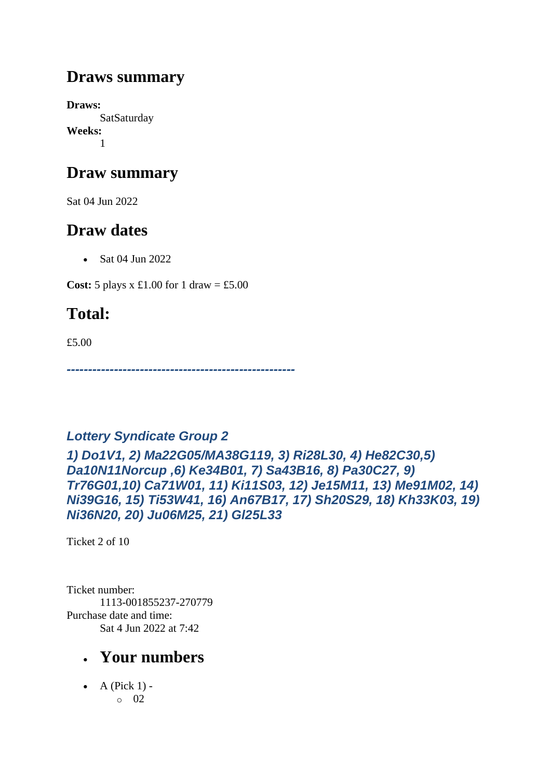## **Draws summary**

**Draws: SatSaturday Weeks:** 1

## **Draw summary**

Sat 04 Jun 2022

## **Draw dates**

• Sat 04 Jun 2022

**Cost:** 5 plays x £1.00 for 1 draw = £5.00

# **Total:**

£5.00

*-----------------------------------------------------*

### *Lottery Syndicate Group 2*

*1) Do1V1, 2) Ma22G05/MA38G119, 3) Ri28L30, 4) He82C30,5) Da10N11Norcup ,6) Ke34B01, 7) Sa43B16, 8) Pa30C27, 9) Tr76G01,10) Ca71W01, 11) Ki11S03, 12) Je15M11, 13) Me91M02, 14) Ni39G16, 15) Ti53W41, 16) An67B17, 17) Sh20S29, 18) Kh33K03, 19) Ni36N20, 20) Ju06M25, 21) Gl25L33*

Ticket 2 of 10

Ticket number: 1113-001855237-270779 Purchase date and time: Sat 4 Jun 2022 at 7:42

## • **Your numbers**

 $\bullet$  A (Pick 1) o 02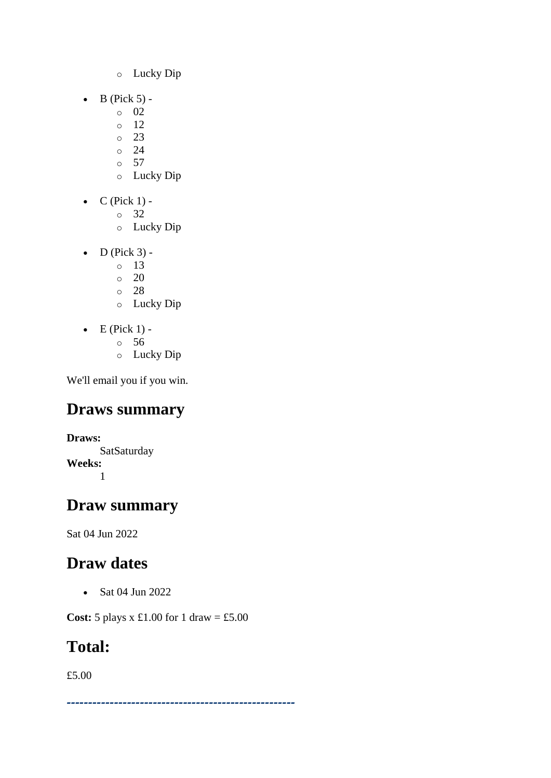- o Lucky Dip
- $\bullet$  B (Pick 5)
	- o 02
	- o 12
	- o 23
	- o 24  $\circ$  57
	- o Lucky Dip
- $\bullet$  C (Pick 1)
	- o 32
	- o Lucky Dip
- $\bullet$  D (Pick 3) -
	- $\circ$  13
	- $\circ$  20
	- o 28
	- o Lucky Dip
- $\bullet$  E (Pick 1)
	- o 56
	- o Lucky Dip

## **Draws summary**

**Draws: SatSaturday Weeks:** 1

## **Draw summary**

Sat 04 Jun 2022

## **Draw dates**

• Sat 04 Jun 2022

**Cost:** 5 plays x £1.00 for 1 draw = £5.00

## **Total:**

£5.00

*-----------------------------------------------------*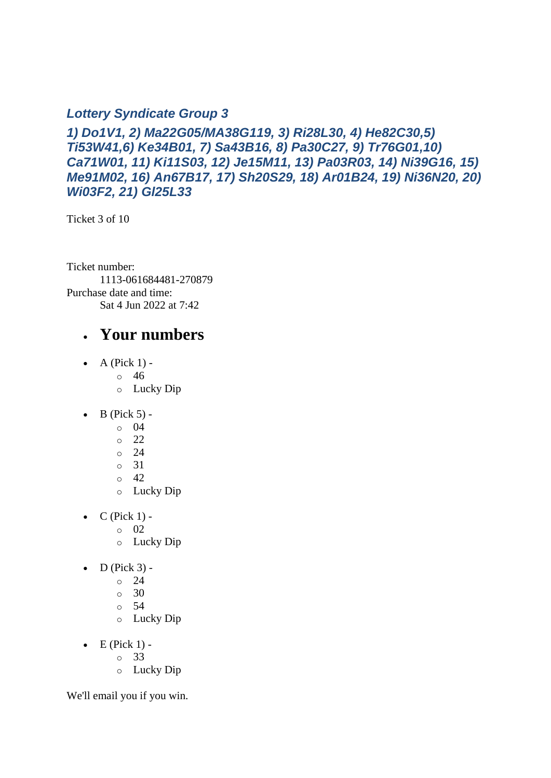#### *Lottery Syndicate Group 3*

*1) Do1V1, 2) Ma22G05/MA38G119, 3) Ri28L30, 4) He82C30,5) Ti53W41,6) Ke34B01, 7) Sa43B16, 8) Pa30C27, 9) Tr76G01,10) Ca71W01, 11) Ki11S03, 12) Je15M11, 13) Pa03R03, 14) Ni39G16, 15) Me91M02, 16) An67B17, 17) Sh20S29, 18) Ar01B24, 19) Ni36N20, 20) Wi03F2, 21) Gl25L33*

Ticket 3 of 10

Ticket number: 1113-061684481-270879 Purchase date and time: Sat 4 Jun 2022 at 7:42

### • **Your numbers**

- A (Pick  $1$ )
	- o 46
	- o Lucky Dip
- $\bullet$  B (Pick 5)
	- o 04
	- o 22
	- o 24
	- o 31
	- o 42
	- o Lucky Dip
- $C$  (Pick 1)
	- o 02
	- o Lucky Dip
- $\bullet$  D (Pick 3)
	- o 24
	- $\circ$  30
	- o 54
	- o Lucky Dip
- $\bullet$  E (Pick 1)
	- o 33
	- o Lucky Dip

We'll email you if you win.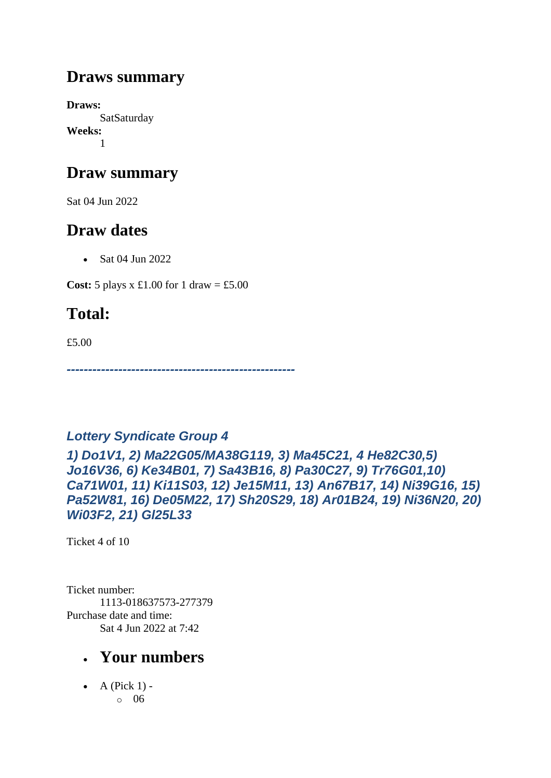## **Draws summary**

**Draws: SatSaturday Weeks:** 1

## **Draw summary**

Sat 04 Jun 2022

## **Draw dates**

• Sat 04 Jun 2022

**Cost:** 5 plays x £1.00 for 1 draw = £5.00

# **Total:**

£5.00

*-----------------------------------------------------*

### *Lottery Syndicate Group 4*

*1) Do1V1, 2) Ma22G05/MA38G119, 3) Ma45C21, 4 He82C30,5) Jo16V36, 6) Ke34B01, 7) Sa43B16, 8) Pa30C27, 9) Tr76G01,10) Ca71W01, 11) Ki11S03, 12) Je15M11, 13) An67B17, 14) Ni39G16, 15) Pa52W81, 16) De05M22, 17) Sh20S29, 18) Ar01B24, 19) Ni36N20, 20) Wi03F2, 21) Gl25L33*

Ticket 4 of 10

Ticket number: 1113-018637573-277379 Purchase date and time: Sat 4 Jun 2022 at 7:42

## • **Your numbers**

 $\bullet$  A (Pick 1) o 06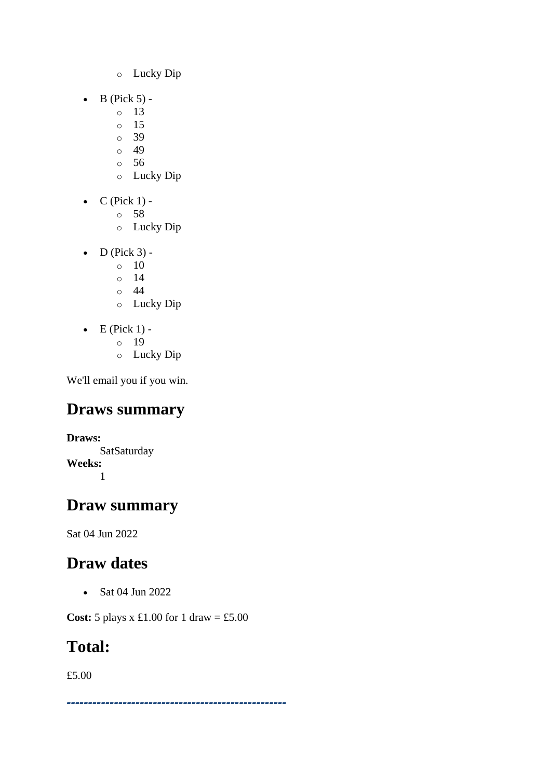- o Lucky Dip
- $\bullet$  B (Pick 5)
	- o 13
	- o 15
	- o 39
	- o 49 o 56
	- o Lucky Dip
- $\bullet$  C (Pick 1)
	- o 58
	- o Lucky Dip
- $\bullet$  D (Pick 3) -
	- $\circ$  10
	- $\circ$  14
	- o 44
	- o Lucky Dip
- $\bullet$  E (Pick 1)
	- o 19
	- o Lucky Dip

## **Draws summary**

**Draws: SatSaturday Weeks:** 1

## **Draw summary**

Sat 04 Jun 2022

## **Draw dates**

• Sat 04 Jun 2022

**Cost:** 5 plays x £1.00 for 1 draw = £5.00

## **Total:**

£5.00

*---------------------------------------------------*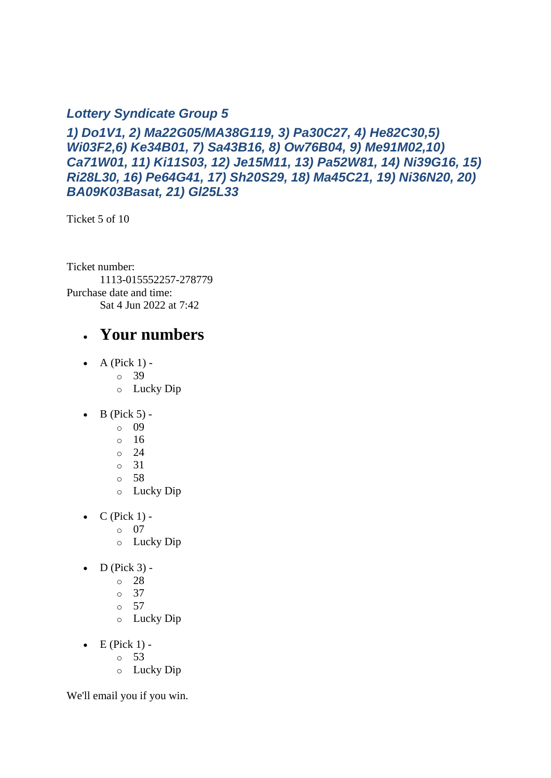#### *Lottery Syndicate Group 5*

*1) Do1V1, 2) Ma22G05/MA38G119, 3) Pa30C27, 4) He82C30,5) Wi03F2,6) Ke34B01, 7) Sa43B16, 8) Ow76B04, 9) Me91M02,10) Ca71W01, 11) Ki11S03, 12) Je15M11, 13) Pa52W81, 14) Ni39G16, 15) Ri28L30, 16) Pe64G41, 17) Sh20S29, 18) Ma45C21, 19) Ni36N20, 20) BA09K03Basat, 21) Gl25L33*

Ticket 5 of 10

Ticket number: 1113-015552257-278779 Purchase date and time: Sat 4 Jun 2022 at 7:42

### • **Your numbers**

- A (Pick  $1$ )
	- o 39
	- o Lucky Dip
- $\bullet$  B (Pick 5)
	- o 09
	- o 16
	- o 24
	- o 31
	- o 58
	- o Lucky Dip
- $C$  (Pick 1)
	- o 07
	- o Lucky Dip
- $\bullet$  D (Pick 3)
	- o 28
	- o 37
	- o 57
	- o Lucky Dip
- $\bullet$  E (Pick 1)
	- o 53
	- o Lucky Dip

We'll email you if you win.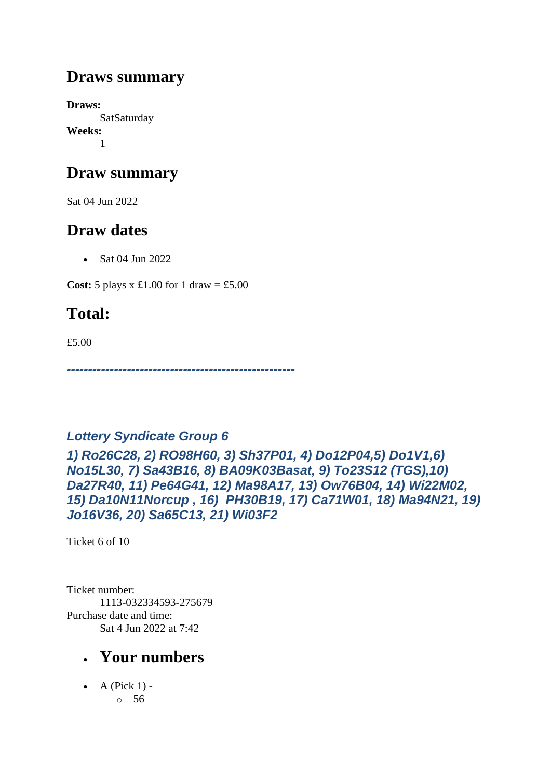## **Draws summary**

**Draws: SatSaturday Weeks:** 1

## **Draw summary**

Sat 04 Jun 2022

## **Draw dates**

• Sat 04 Jun 2022

**Cost:** 5 plays x £1.00 for 1 draw = £5.00

# **Total:**

£5.00

*-----------------------------------------------------*

### *Lottery Syndicate Group 6*

*1) Ro26C28, 2) RO98H60, 3) Sh37P01, 4) Do12P04,5) Do1V1,6) No15L30, 7) Sa43B16, 8) BA09K03Basat, 9) To23S12 (TGS),10) Da27R40, 11) Pe64G41, 12) Ma98A17, 13) Ow76B04, 14) Wi22M02, 15) Da10N11Norcup , 16) PH30B19, 17) Ca71W01, 18) Ma94N21, 19) Jo16V36, 20) Sa65C13, 21) Wi03F2*

Ticket 6 of 10

Ticket number: 1113-032334593-275679 Purchase date and time: Sat 4 Jun 2022 at 7:42

## • **Your numbers**

 $\bullet$  A (Pick 1) o 56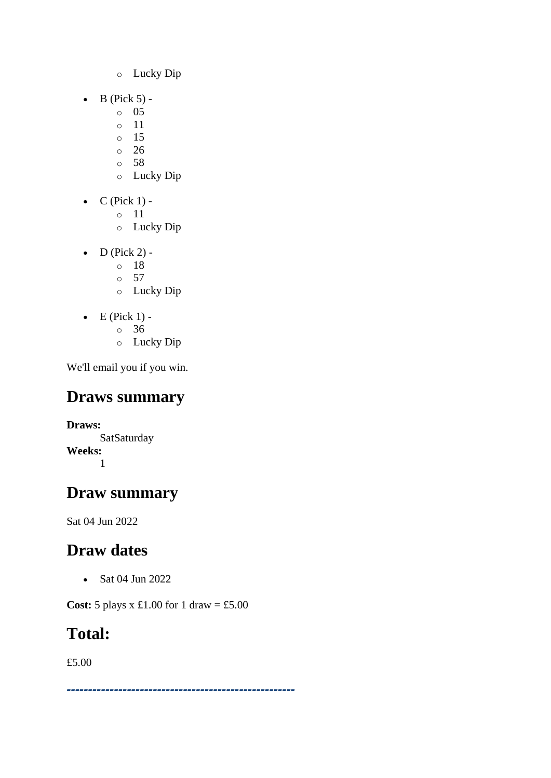- o Lucky Dip
- $\bullet$  B (Pick 5)
	- o 05
	- o 11
	- o 15 o 26
	- o 58
	- o Lucky Dip
- $\bullet$  C (Pick 1)
	- o 11
	- o Lucky Dip
- D (Pick 2)
	- o 18
	- o 57
	- o Lucky Dip
- $\bullet$  E (Pick 1)
	- o 36
	- o Lucky Dip

## **Draws summary**

**Draws: SatSaturday Weeks:** 1

## **Draw summary**

Sat 04 Jun 2022

## **Draw dates**

• Sat 04 Jun 2022

**Cost:** 5 plays x £1.00 for 1 draw = £5.00

# **Total:**

£5.00

*-----------------------------------------------------*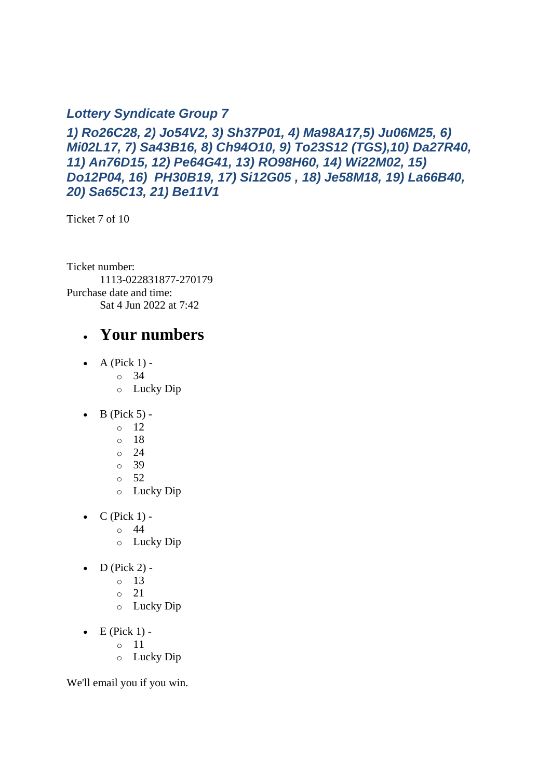#### *Lottery Syndicate Group 7*

*1) Ro26C28, 2) Jo54V2, 3) Sh37P01, 4) Ma98A17,5) Ju06M25, 6) Mi02L17, 7) Sa43B16, 8) Ch94O10, 9) To23S12 (TGS),10) Da27R40, 11) An76D15, 12) Pe64G41, 13) RO98H60, 14) Wi22M02, 15) Do12P04, 16) PH30B19, 17) Si12G05 , 18) Je58M18, 19) La66B40, 20) Sa65C13, 21) Be11V1*

Ticket 7 of 10

Ticket number: 1113-022831877-270179 Purchase date and time: Sat 4 Jun 2022 at 7:42

### • **Your numbers**

- A (Pick  $1$ )
	- o 34
	- o Lucky Dip
- $\bullet$  B (Pick 5) -
	- $\circ$  12
	- o 18
	- o 24
	- o 39
	- $\circ$  52
	- o Lucky Dip
- $C$  (Pick 1) -
	- $\circ$  44
	- o Lucky Dip
- $D$  (Pick 2)
	- o 13
	- o 21
	- o Lucky Dip
- $\bullet$  E (Pick 1)
	- o 11
	- o Lucky Dip

We'll email you if you win.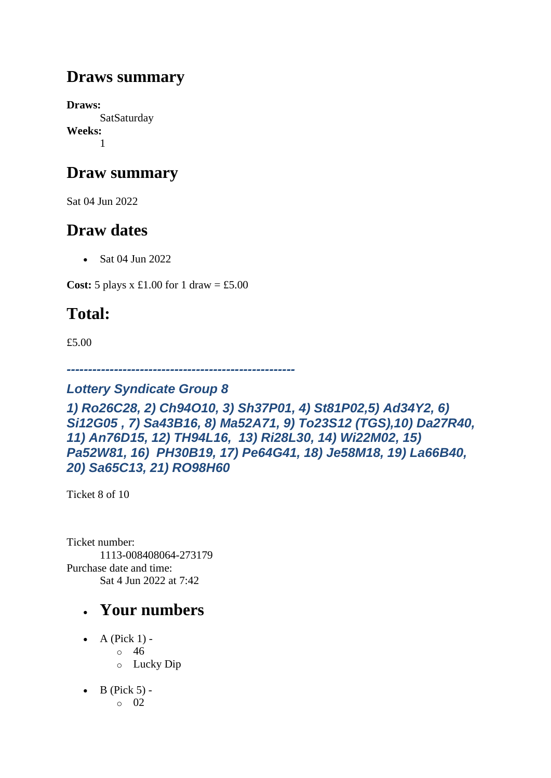## **Draws summary**

**Draws: SatSaturday Weeks:** 1

## **Draw summary**

Sat 04 Jun 2022

## **Draw dates**

• Sat 04 Jun 2022

**Cost:** 5 plays x £1.00 for 1 draw = £5.00

## **Total:**

£5.00

*-----------------------------------------------------*

#### *Lottery Syndicate Group 8*

*1) Ro26C28, 2) Ch94O10, 3) Sh37P01, 4) St81P02,5) Ad34Y2, 6) Si12G05 , 7) Sa43B16, 8) Ma52A71, 9) To23S12 (TGS),10) Da27R40, 11) An76D15, 12) TH94L16, 13) Ri28L30, 14) Wi22M02, 15) Pa52W81, 16) PH30B19, 17) Pe64G41, 18) Je58M18, 19) La66B40, 20) Sa65C13, 21) RO98H60*

Ticket 8 of 10

Ticket number: 1113-008408064-273179 Purchase date and time: Sat 4 Jun 2022 at 7:42

- A (Pick  $1$ )
	- o 46
	- o Lucky Dip
- $\bullet$  B (Pick 5)
	- o 02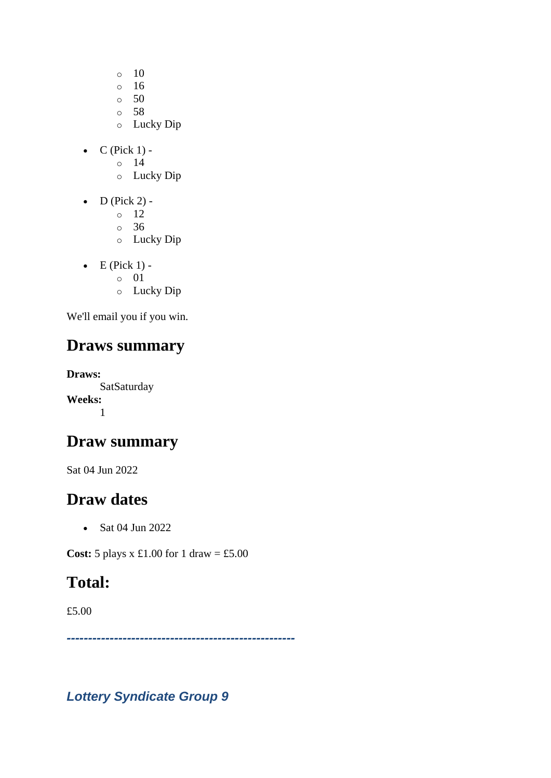- $\circ$  10
- o 16
- $\circ$  50
- o 58
- o Lucky Dip
- $C$  (Pick 1)
	- o 14
	- o Lucky Dip
- $\bullet$  D (Pick 2) -
	- $\circ$  12
	- o 36
	- o Lucky Dip
- $\bullet$  E (Pick 1)
	- o 01
	- o Lucky Dip

## **Draws summary**

**Draws: SatSaturday Weeks:** 1

## **Draw summary**

Sat 04 Jun 2022

## **Draw dates**

• Sat 04 Jun 2022

**Cost:** 5 plays x £1.00 for 1 draw = £5.00

## **Total:**

£5.00

*-----------------------------------------------------*

*Lottery Syndicate Group 9*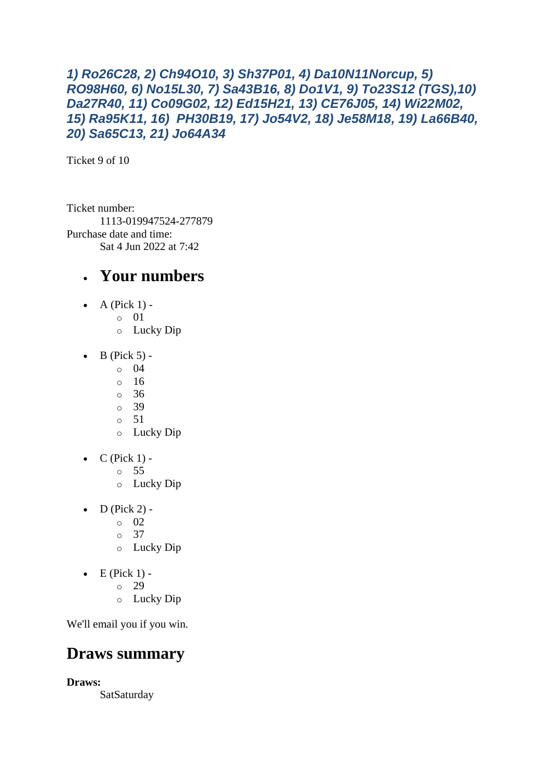#### *1) Ro26C28, 2) Ch94O10, 3) Sh37P01, 4) Da10N11Norcup, 5) RO98H60, 6) No15L30, 7) Sa43B16, 8) Do1V1, 9) To23S12 (TGS),10) Da27R40, 11) Co09G02, 12) Ed15H21, 13) CE76J05, 14) Wi22M02, 15) Ra95K11, 16) PH30B19, 17) Jo54V2, 18) Je58M18, 19) La66B40, 20) Sa65C13, 21) Jo64A34*

Ticket 9 of 10

Ticket number: 1113-019947524-277879 Purchase date and time: Sat 4 Jun 2022 at 7:42

### • **Your numbers**

- A (Pick  $1$ )
	- o 01
		- o Lucky Dip
- $\bullet$  B (Pick 5) -
	- $\circ$  04
		- $\circ$  16
		- o 36
		- o 39
		- o 51
		- o Lucky Dip
- $\bullet$  C (Pick 1)
	- o 55
	- o Lucky Dip
- $D$  (Pick 2) -
	- $\circ$  02
	- o 37
	- o Lucky Dip
- $\bullet$  E (Pick 1) -
	- $\circ$  29
	- o Lucky Dip

We'll email you if you win.

### **Draws summary**

**Draws:**

SatSaturday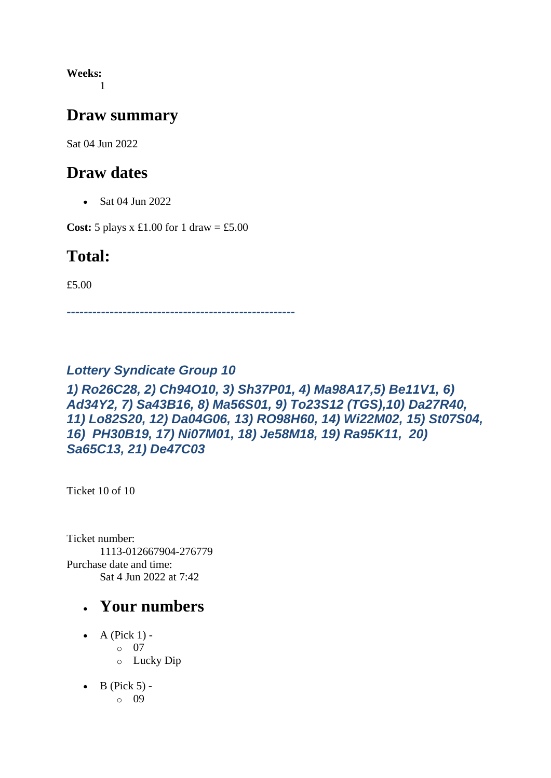**Weeks:** 1

### **Draw summary**

Sat 04 Jun 2022

### **Draw dates**

• Sat 04 Jun 2022

**Cost:** 5 plays x £1.00 for 1 draw = £5.00

### **Total:**

£5.00

*-----------------------------------------------------*

### *Lottery Syndicate Group 10*

#### *1) Ro26C28, 2) Ch94O10, 3) Sh37P01, 4) Ma98A17,5) Be11V1, 6) Ad34Y2, 7) Sa43B16, 8) Ma56S01, 9) To23S12 (TGS),10) Da27R40, 11) Lo82S20, 12) Da04G06, 13) RO98H60, 14) Wi22M02, 15) St07S04, 16) PH30B19, 17) Ni07M01, 18) Je58M18, 19) Ra95K11, 20) Sa65C13, 21) De47C03*

Ticket 10 of 10

Ticket number: 1113-012667904-276779 Purchase date and time: Sat 4 Jun 2022 at 7:42

- A (Pick  $1$ ) o 07 o Lucky Dip
- $\bullet$  B (Pick 5) o 09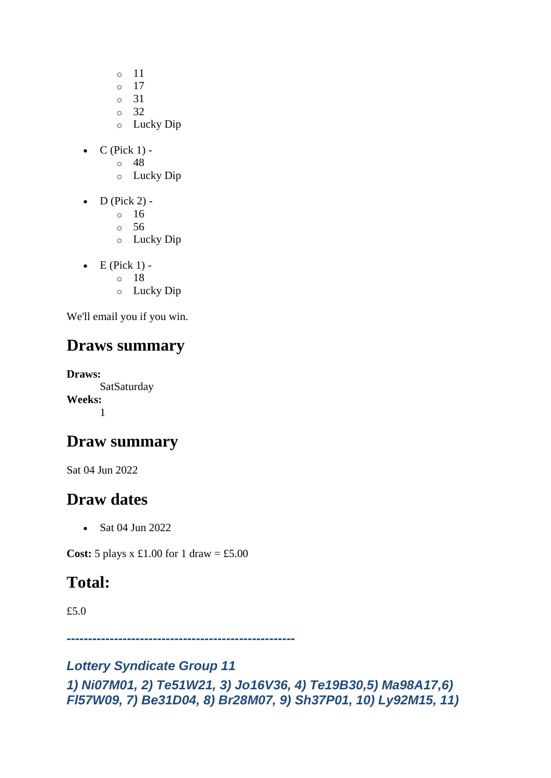- o 11
- o 17
- o 31
- o 32
- o Lucky Dip
- $\bullet$  C (Pick 1)
	- o 48
	- o Lucky Dip
- $\bullet$  D (Pick 2)
	- o 16
	- o 56
	- o Lucky Dip
- $\bullet$  E (Pick 1)
	- o 18
	- o Lucky Dip

## **Draws summary**

**Draws: SatSaturday Weeks:** 1

### **Draw summary**

Sat 04 Jun 2022

### **Draw dates**

• Sat 04 Jun 2022

**Cost:**  $5$  plays x  $\pounds1.00$  for  $1$  draw =  $\pounds5.00$ 

## **Total:**

£5.0

*-----------------------------------------------------*

#### *Lottery Syndicate Group 11 1) Ni07M01, 2) Te51W21, 3) Jo16V36, 4) Te19B30,5) Ma98A17,6) Fl57W09, 7) Be31D04, 8) Br28M07, 9) Sh37P01, 10) Ly92M15, 11)*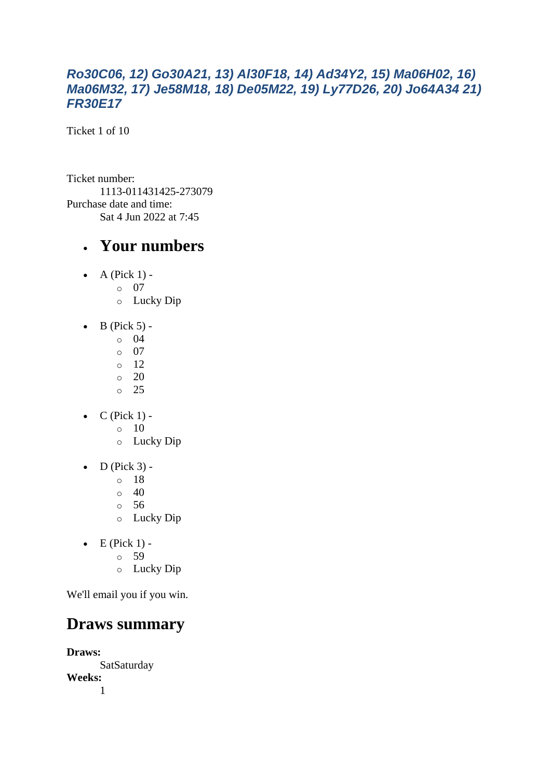#### *Ro30C06, 12) Go30A21, 13) Al30F18, 14) Ad34Y2, 15) Ma06H02, 16) Ma06M32, 17) Je58M18, 18) De05M22, 19) Ly77D26, 20) Jo64A34 21) FR30E17*

Ticket 1 of 10

Ticket number: 1113-011431425-273079 Purchase date and time: Sat 4 Jun 2022 at 7:45

### • **Your numbers**

- $\bullet$  A (Pick 1)
	- o 07
	- o Lucky Dip
- $\bullet$  B (Pick 5)
	- o 04
	- $\circ$  07
	- o 12
	- $\circ$  20 o 25
- $\bullet$  C (Pick 1) -
	- $\circ$  10
	- o Lucky Dip
- $\bullet$  D (Pick 3)
	- o 18
	- $\circ$  40
	- o 56
	- o Lucky Dip
- $\bullet$  E (Pick 1)
	- o 59
	- o Lucky Dip

We'll email you if you win.

### **Draws summary**

**Draws: SatSaturday Weeks:** 1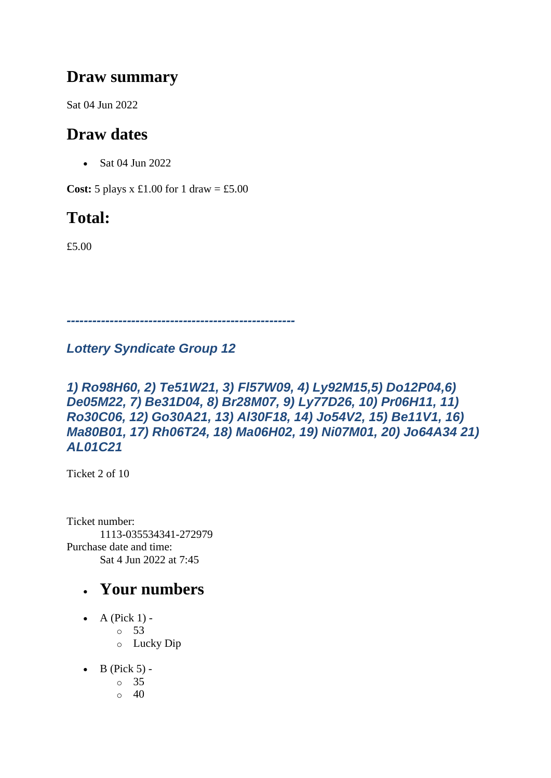### **Draw summary**

Sat 04 Jun 2022

## **Draw dates**

• Sat 04 Jun 2022

**Cost:**  $5$  plays x £1.00 for 1 draw = £5.00

## **Total:**

£5.00

*-----------------------------------------------------*

#### *Lottery Syndicate Group 12*

#### *1) Ro98H60, 2) Te51W21, 3) Fl57W09, 4) Ly92M15,5) Do12P04,6) De05M22, 7) Be31D04, 8) Br28M07, 9) Ly77D26, 10) Pr06H11, 11) Ro30C06, 12) Go30A21, 13) Al30F18, 14) Jo54V2, 15) Be11V1, 16) Ma80B01, 17) Rh06T24, 18) Ma06H02, 19) Ni07M01, 20) Jo64A34 21) AL01C21*

Ticket 2 of 10

Ticket number: 1113-035534341-272979 Purchase date and time: Sat 4 Jun 2022 at 7:45

- A (Pick  $1$ ) -
	- $\circ$  53
	- o Lucky Dip
- $\bullet$  B (Pick 5)
	- o 35
	- $\circ$  40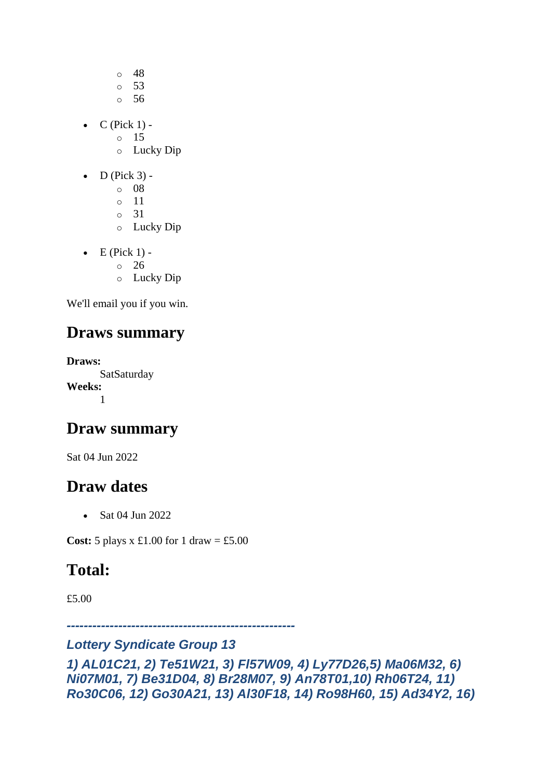- o 48
- o 53
- o 56
- $\bullet$  C (Pick 1)
	- o 15
	- o Lucky Dip
- $\bullet$  D (Pick 3) -
	- $\circ$  08
	- o 11
	- o 31
	- o Lucky Dip
- $\bullet$  E (Pick 1)
	- o 26
	- o Lucky Dip

## **Draws summary**

**Draws:** SatSaturday **Weeks:** 1

## **Draw summary**

Sat 04 Jun 2022

## **Draw dates**

• Sat 04 Jun 2022

**Cost:**  $5$  plays x £1.00 for 1 draw = £5.00

# **Total:**

£5.00

*-----------------------------------------------------*

### *Lottery Syndicate Group 13*

*1) AL01C21, 2) Te51W21, 3) Fl57W09, 4) Ly77D26,5) Ma06M32, 6) Ni07M01, 7) Be31D04, 8) Br28M07, 9) An78T01,10) Rh06T24, 11) Ro30C06, 12) Go30A21, 13) Al30F18, 14) Ro98H60, 15) Ad34Y2, 16)*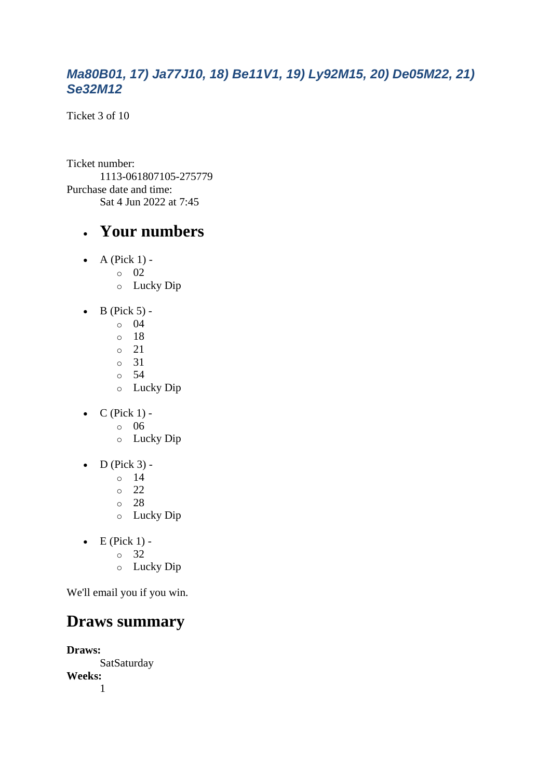#### *Ma80B01, 17) Ja77J10, 18) Be11V1, 19) Ly92M15, 20) De05M22, 21) Se32M12*

Ticket 3 of 10

Ticket number: 1113-061807105-275779 Purchase date and time: Sat 4 Jun 2022 at 7:45

### • **Your numbers**

- $\bullet$  A (Pick 1)
	- o 02
		- o Lucky Dip
- $\bullet$  B (Pick 5) -
	- $\circ$  04
	- o 18
	- o 21
	- o 31
	- o 54
	- o Lucky Dip
- $\bullet$  C (Pick 1)
	- o 06
	- o Lucky Dip
- $\bullet$  D (Pick 3)
	- o 14
	- o 22
	- o 28
	- o Lucky Dip
- $\bullet$  E (Pick 1)
	- o 32
	- o Lucky Dip

We'll email you if you win.

### **Draws summary**

**Draws: SatSaturday Weeks:** 1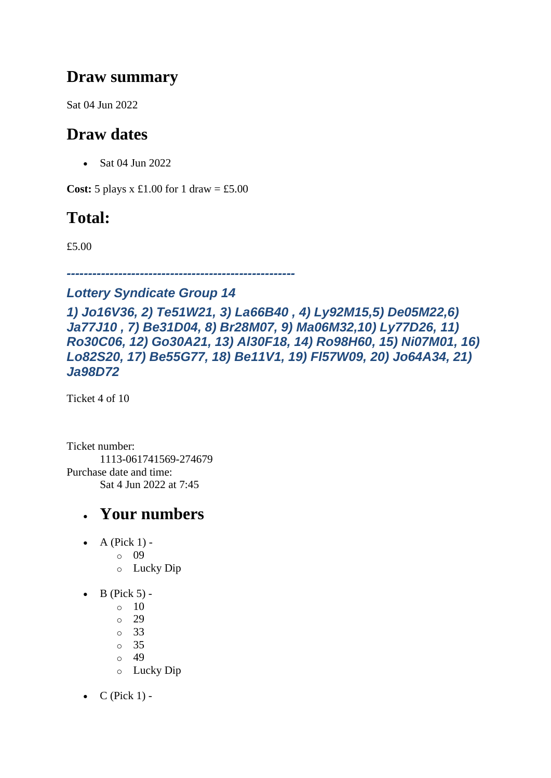### **Draw summary**

Sat 04 Jun 2022

## **Draw dates**

• Sat 04 Jun 2022

**Cost:**  $5$  plays x £1.00 for 1 draw = £5.00

## **Total:**

£5.00

*-----------------------------------------------------*

#### *Lottery Syndicate Group 14*

*1) Jo16V36, 2) Te51W21, 3) La66B40 , 4) Ly92M15,5) De05M22,6) Ja77J10 , 7) Be31D04, 8) Br28M07, 9) Ma06M32,10) Ly77D26, 11) Ro30C06, 12) Go30A21, 13) Al30F18, 14) Ro98H60, 15) Ni07M01, 16) Lo82S20, 17) Be55G77, 18) Be11V1, 19) Fl57W09, 20) Jo64A34, 21) Ja98D72*

Ticket 4 of 10

Ticket number: 1113-061741569-274679 Purchase date and time: Sat 4 Jun 2022 at 7:45

- $\bullet$  A (Pick 1)
	- o 09
	- o Lucky Dip
- $\bullet$  B (Pick 5) -
	- $\circ$  10
	- o 29
	- o 33
	- o 35
	- $\circ$  49
	- o Lucky Dip
- $C$  (Pick 1) -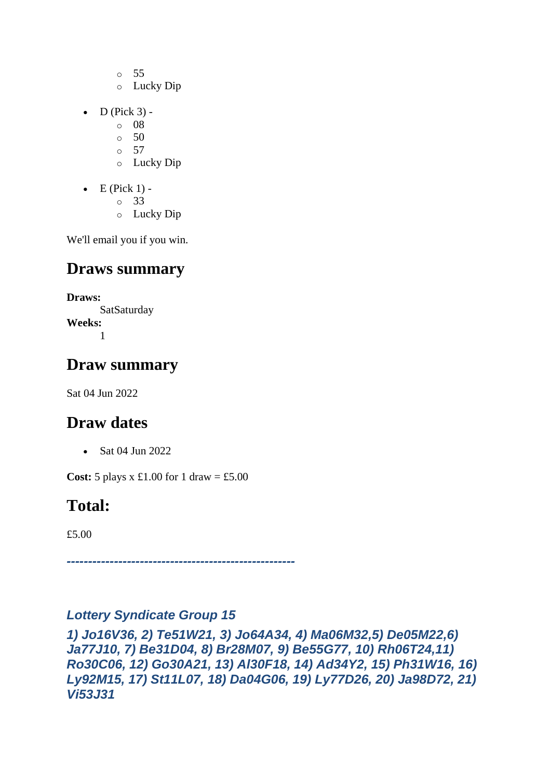- o 55
- o Lucky Dip
- $\bullet$  D (Pick 3)
	- o 08
	- $\circ$  50
	- o 57
	- o Lucky Dip
- $\bullet$  E (Pick 1)
	- o 33
	- o Lucky Dip

## **Draws summary**

**Draws: SatSaturday Weeks:** 1

## **Draw summary**

Sat 04 Jun 2022

# **Draw dates**

• Sat 04 Jun 2022

**Cost:**  $5$  plays x £1.00 for 1 draw = £5.00

# **Total:**

£5.00

*-----------------------------------------------------*

#### *Lottery Syndicate Group 15*

*1) Jo16V36, 2) Te51W21, 3) Jo64A34, 4) Ma06M32,5) De05M22,6) Ja77J10, 7) Be31D04, 8) Br28M07, 9) Be55G77, 10) Rh06T24,11) Ro30C06, 12) Go30A21, 13) Al30F18, 14) Ad34Y2, 15) Ph31W16, 16) Ly92M15, 17) St11L07, 18) Da04G06, 19) Ly77D26, 20) Ja98D72, 21) Vi53J31*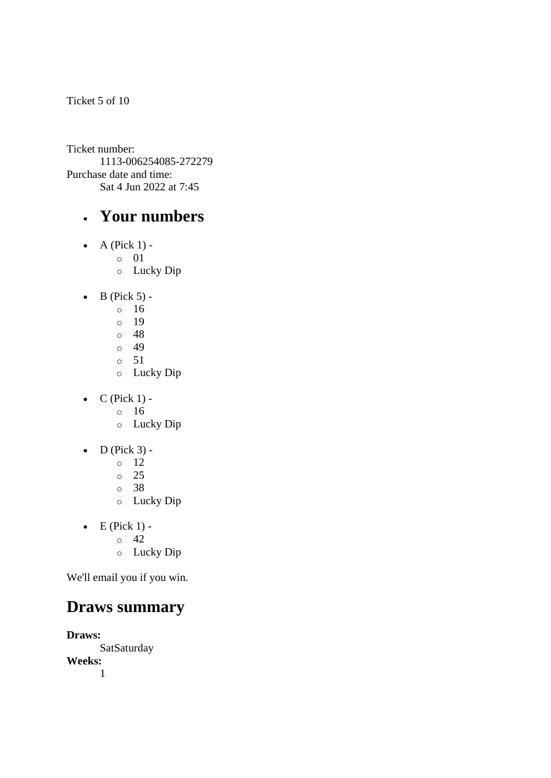Ticket 5 of 10

Ticket number: 1113-006254085-272279 Purchase date and time: Sat 4 Jun 2022 at 7:45

### • **Your numbers**

- $\bullet$  A (Pick 1) o 01
	- o Lucky Dip
- $\bullet$  B (Pick 5)
	- o 16
	- o 19
	- o 48
	- o 49
	- o 51
	- o Lucky Dip
- $\bullet$  C (Pick 1)
	- o 16
	- o Lucky Dip
- $\bullet$  D (Pick 3) -
	- $\circ$  12
	- o 25
	- o 38
	- o Lucky Dip
- $\bullet$  E (Pick 1)
	- o 42
	- o Lucky Dip

We'll email you if you win.

## **Draws summary**

**Draws: SatSaturday Weeks:** 1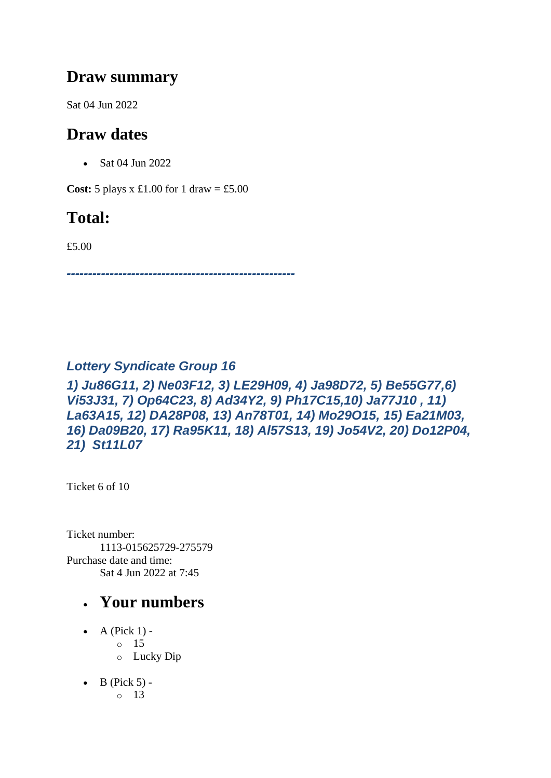### **Draw summary**

Sat 04 Jun 2022

## **Draw dates**

• Sat 04 Jun 2022

**Cost:**  $5$  plays x £1.00 for 1 draw = £5.00

## **Total:**

£5.00

*-----------------------------------------------------*

### *Lottery Syndicate Group 16*

*1) Ju86G11, 2) Ne03F12, 3) LE29H09, 4) Ja98D72, 5) Be55G77,6) Vi53J31, 7) Op64C23, 8) Ad34Y2, 9) Ph17C15,10) Ja77J10 , 11) La63A15, 12) DA28P08, 13) An78T01, 14) Mo29O15, 15) Ea21M03, 16) Da09B20, 17) Ra95K11, 18) Al57S13, 19) Jo54V2, 20) Do12P04, 21) St11L07*

Ticket 6 of 10

Ticket number: 1113-015625729-275579 Purchase date and time: Sat 4 Jun 2022 at 7:45

- A (Pick  $1$ ) - $\circ$  15 o Lucky Dip
- $\bullet$  B (Pick 5) - $\circ$  13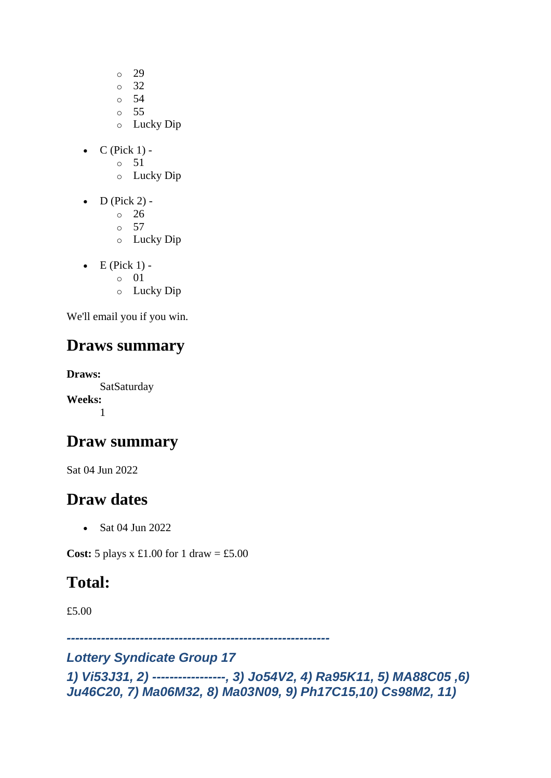- o 29
- o 32
- o 54
- o 55
- o Lucky Dip
- $\bullet$  C (Pick 1) -
	- $\circ$  51
	- o Lucky Dip
- $\bullet$  D (Pick 2)
	- o 26
	- $\circ$  57
	- o Lucky Dip
- $\bullet$  E (Pick 1)
	- o 01
	- o Lucky Dip

## **Draws summary**

**Draws: SatSaturday Weeks:** 1

### **Draw summary**

Sat 04 Jun 2022

### **Draw dates**

• Sat 04 Jun 2022

**Cost:**  $5$  plays x  $\pounds1.00$  for  $1$  draw =  $\pounds5.00$ 

## **Total:**

£5.00

*-------------------------------------------------------------*

*Lottery Syndicate Group 17* 

*1) Vi53J31, 2) -----------------, 3) Jo54V2, 4) Ra95K11, 5) MA88C05 ,6) Ju46C20, 7) Ma06M32, 8) Ma03N09, 9) Ph17C15,10) Cs98M2, 11)*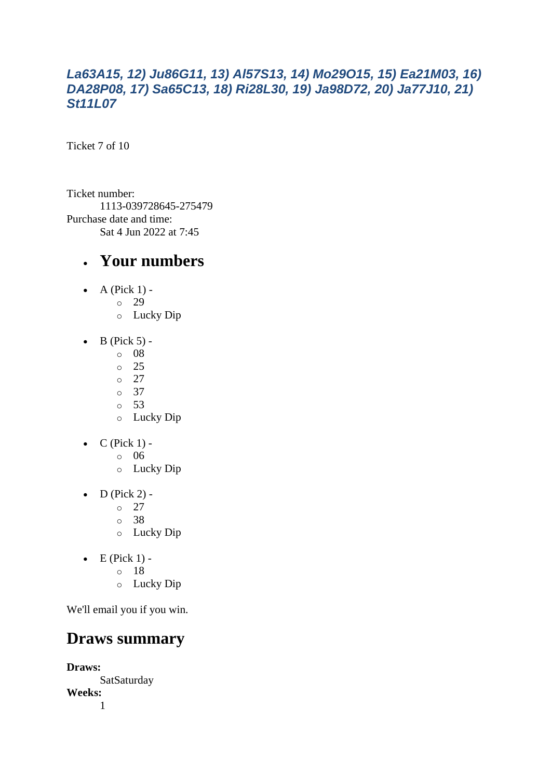#### *La63A15, 12) Ju86G11, 13) Al57S13, 14) Mo29O15, 15) Ea21M03, 16) DA28P08, 17) Sa65C13, 18) Ri28L30, 19) Ja98D72, 20) Ja77J10, 21) St11L07*

Ticket 7 of 10

Ticket number: 1113-039728645-275479 Purchase date and time: Sat 4 Jun 2022 at 7:45

#### • **Your numbers**

- $\bullet$  A (Pick 1)
	- o 29
		- o Lucky Dip
- $\bullet$  B (Pick 5)
	- o 08
	- o 25
	- o 27
	- o 37
	- o 53
	- o Lucky Dip
- $\bullet$  C (Pick 1)
	- o 06
	- o Lucky Dip
- $\bullet$  D (Pick 2) -
	- $\circ$  27
	- o 38
	- o Lucky Dip
- $\bullet$  E (Pick 1)
	- o 18
	- o Lucky Dip

We'll email you if you win.

### **Draws summary**

**Draws: SatSaturday Weeks:** 1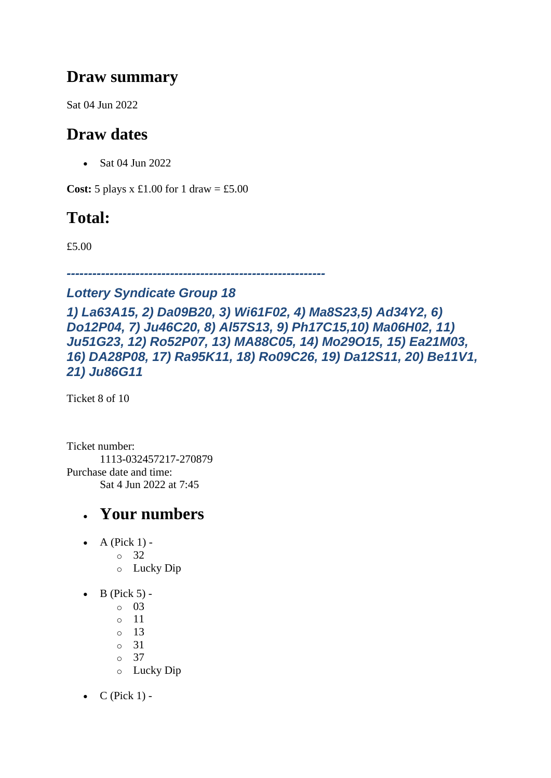### **Draw summary**

Sat 04 Jun 2022

## **Draw dates**

• Sat 04 Jun 2022

**Cost:**  $5$  plays x £1.00 for 1 draw = £5.00

## **Total:**

£5.00

*------------------------------------------------------------*

#### *Lottery Syndicate Group 18*

*1) La63A15, 2) Da09B20, 3) Wi61F02, 4) Ma8S23,5) Ad34Y2, 6) Do12P04, 7) Ju46C20, 8) Al57S13, 9) Ph17C15,10) Ma06H02, 11) Ju51G23, 12) Ro52P07, 13) MA88C05, 14) Mo29O15, 15) Ea21M03, 16) DA28P08, 17) Ra95K11, 18) Ro09C26, 19) Da12S11, 20) Be11V1, 21) Ju86G11*

Ticket 8 of 10

Ticket number: 1113-032457217-270879 Purchase date and time: Sat 4 Jun 2022 at 7:45

- $\bullet$  A (Pick 1)
	- o 32
	- o Lucky Dip
- $\bullet$  B (Pick 5)
	- o 03
	- o 11
	- o 13
	- o 31
	- o 37
	- o Lucky Dip
- $C$  (Pick 1) -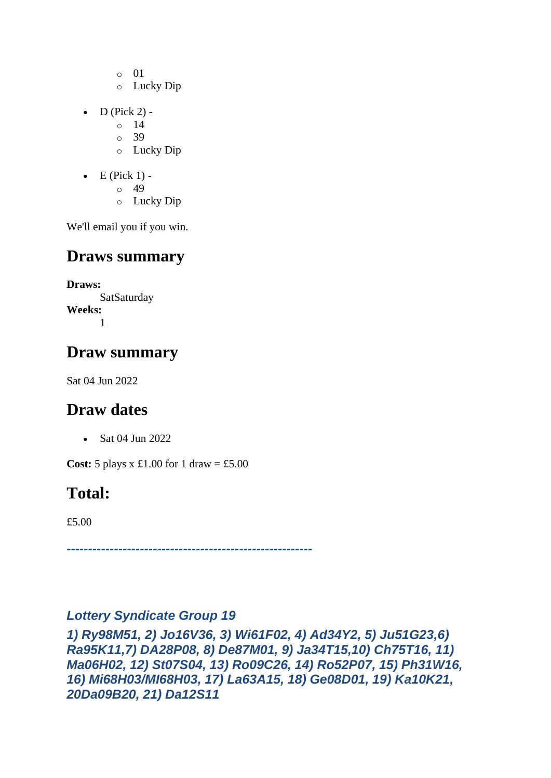- o 01
- o Lucky Dip
- $D$  (Pick 2) -
	- $\circ$  14
	- o 39
	- o Lucky Dip
- $\bullet$  E (Pick 1) -
	- $\circ$  49
	- o Lucky Dip

## **Draws summary**

**Draws: SatSaturday Weeks:** 1

## **Draw summary**

Sat 04 Jun 2022

## **Draw dates**

• Sat 04 Jun 2022

**Cost:** 5 plays x £1.00 for 1 draw = £5.00

## **Total:**

£5.00

*---------------------------------------------------------*

#### *Lottery Syndicate Group 19*

*1) Ry98M51, 2) Jo16V36, 3) Wi61F02, 4) Ad34Y2, 5) Ju51G23,6) Ra95K11,7) DA28P08, 8) De87M01, 9) Ja34T15,10) Ch75T16, 11) Ma06H02, 12) St07S04, 13) Ro09C26, 14) Ro52P07, 15) Ph31W16, 16) Mi68H03/MI68H03, 17) La63A15, 18) Ge08D01, 19) Ka10K21, 20Da09B20, 21) Da12S11*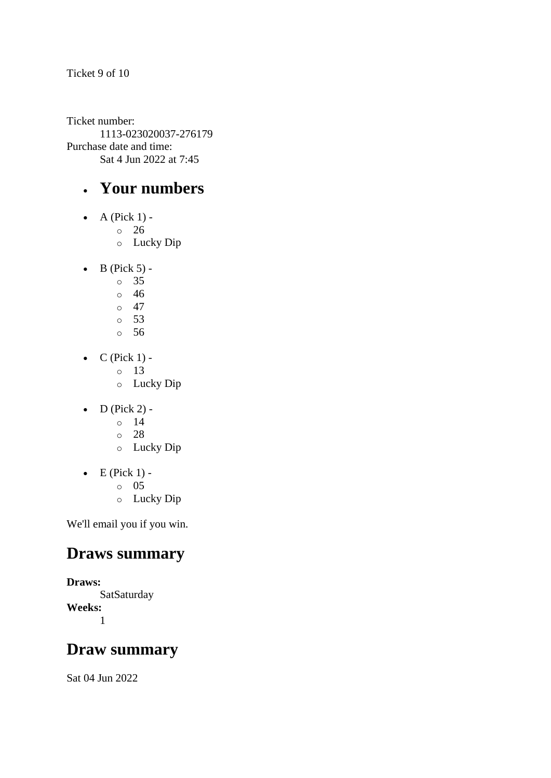Ticket 9 of 10

Ticket number: 1113-023020037-276179 Purchase date and time: Sat 4 Jun 2022 at 7:45

### • **Your numbers**

- $\bullet$  A (Pick 1) -
	- $\circ$  26
	- o Lucky Dip
- $\bullet$  B (Pick 5)
	- o 35
	- o 46
	- $\circ$  47
	- o 53
	- o 56
- $C$  (Pick 1)
	- o 13
	- o Lucky Dip
- $\bullet$  D (Pick 2)
	- o 14
	- o 28
	- o Lucky Dip
- $\bullet$  E (Pick 1) -
	- $\circ$  05
	- o Lucky Dip

We'll email you if you win.

### **Draws summary**

**Draws: SatSaturday Weeks:** 1

#### **Draw summary**

Sat 04 Jun 2022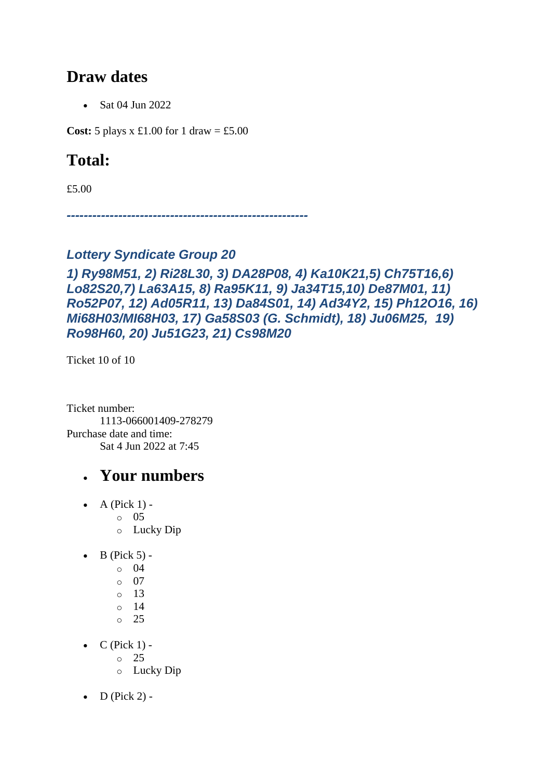### **Draw dates**

• Sat 04 Jun 2022

**Cost:** 5 plays x £1.00 for 1 draw = £5.00

## **Total:**

£5.00

*--------------------------------------------------------*

#### *Lottery Syndicate Group 20*

#### *1) Ry98M51, 2) Ri28L30, 3) DA28P08, 4) Ka10K21,5) Ch75T16,6) Lo82S20,7) La63A15, 8) Ra95K11, 9) Ja34T15,10) De87M01, 11) Ro52P07, 12) Ad05R11, 13) Da84S01, 14) Ad34Y2, 15) Ph12O16, 16) Mi68H03/MI68H03, 17) Ga58S03 (G. Schmidt), 18) Ju06M25, 19) Ro98H60, 20) Ju51G23, 21) Cs98M20*

Ticket 10 of 10

Ticket number: 1113-066001409-278279 Purchase date and time: Sat 4 Jun 2022 at 7:45

- $\bullet$  A (Pick 1)
	- o 05
	- o Lucky Dip
- $\bullet$  B (Pick 5) -
	- $\circ$  04
	- o 07
	- $\circ$  13
	- $\circ$  14
	- $\circ$  25
- $\bullet$  C (Pick 1)
	- o 25
	- o Lucky Dip
- $\bullet$  D (Pick 2) -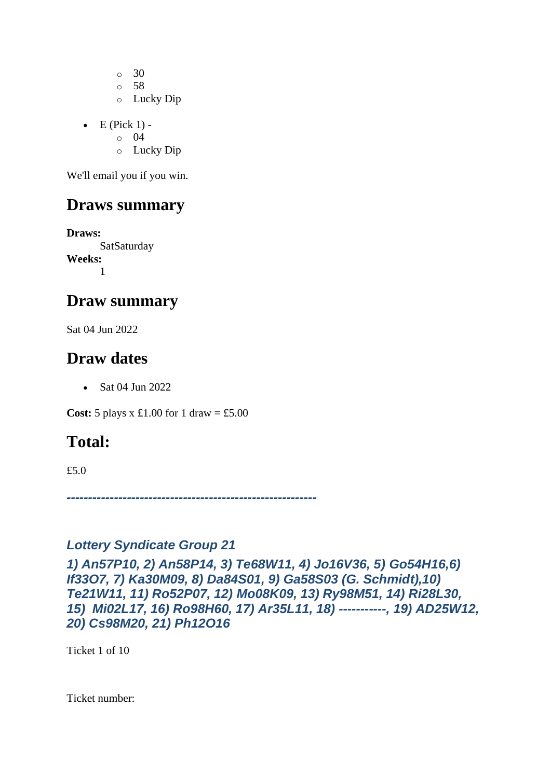o 30 o 58

- o Lucky Dip
- $\bullet$  E (Pick 1)
	- o 04
	- o Lucky Dip

We'll email you if you win.

## **Draws summary**

**Draws: SatSaturday Weeks:** 1

### **Draw summary**

Sat 04 Jun 2022

### **Draw dates**

• Sat 04 Jun 2022

**Cost:** 5 plays x £1.00 for 1 draw = £5.00

## **Total:**

£5.0

*----------------------------------------------------------*

#### *Lottery Syndicate Group 21*

*1) An57P10, 2) An58P14, 3) Te68W11, 4) Jo16V36, 5) Go54H16,6) If33O7, 7) Ka30M09, 8) Da84S01, 9) Ga58S03 (G. Schmidt),10) Te21W11, 11) Ro52P07, 12) Mo08K09, 13) Ry98M51, 14) Ri28L30, 15) Mi02L17, 16) Ro98H60, 17) Ar35L11, 18) -----------, 19) AD25W12, 20) Cs98M20, 21) Ph12O16*

Ticket 1 of 10

Ticket number: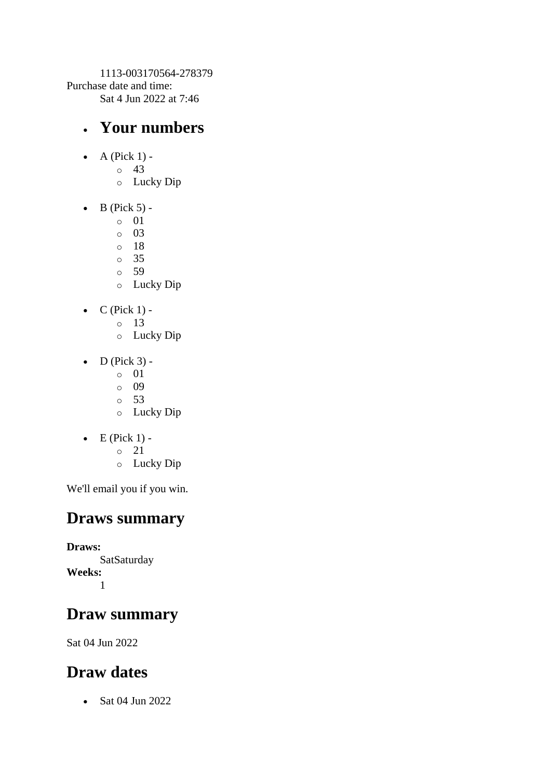1113-003170564-278379 Purchase date and time: Sat 4 Jun 2022 at 7:46

### • **Your numbers**

- A (Pick  $1$ )
	- o 43
	- o Lucky Dip
- $\bullet$  B (Pick 5) -
	- $\circ$  01
	- o 03
	- o 18
	- o 35
	- o 59
	- o Lucky Dip
- $\bullet$  C (Pick 1) -
	- $\circ$  13
	- o Lucky Dip
- $\bullet$  D (Pick 3)
	- o 01
	- o 09
	- o 53
	- o Lucky Dip
- $\bullet$  E (Pick 1)
	- o 21
	- o Lucky Dip

We'll email you if you win.

### **Draws summary**

**Draws: SatSaturday Weeks:** 1

## **Draw summary**

Sat 04 Jun 2022

## **Draw dates**

• Sat 04 Jun 2022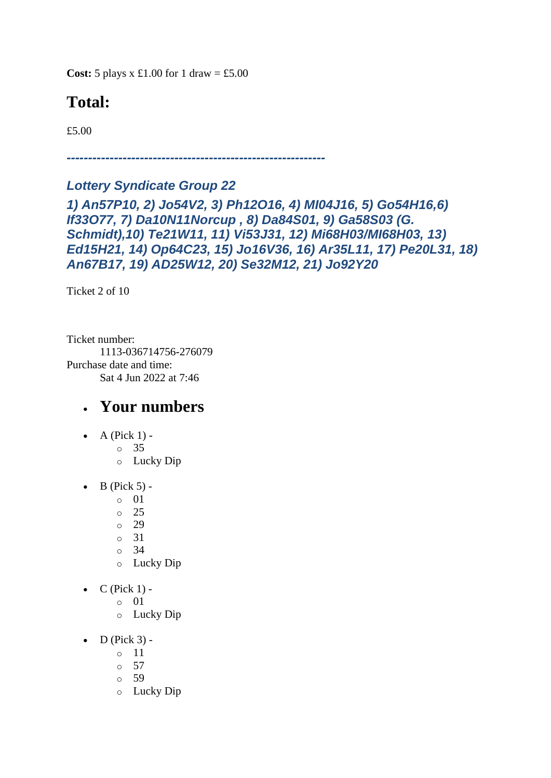**Cost:**  $5$  plays x £1.00 for 1 draw = £5.00

## **Total:**

£5.00

*------------------------------------------------------------*

#### *Lottery Syndicate Group 22*

*1) An57P10, 2) Jo54V2, 3) Ph12O16, 4) MI04J16, 5) Go54H16,6) If33O77, 7) Da10N11Norcup , 8) Da84S01, 9) Ga58S03 (G. Schmidt),10) Te21W11, 11) Vi53J31, 12) Mi68H03/MI68H03, 13) Ed15H21, 14) Op64C23, 15) Jo16V36, 16) Ar35L11, 17) Pe20L31, 18) An67B17, 19) AD25W12, 20) Se32M12, 21) Jo92Y20*

Ticket 2 of 10

Ticket number: 1113-036714756-276079 Purchase date and time: Sat 4 Jun 2022 at 7:46

- A (Pick  $1$ ) -
	- $\circ$  35
		- o Lucky Dip
- $\bullet$  B (Pick 5)
	- o 01
	- o 25
	- o 29
	- o 31
	- o 34
	- o Lucky Dip
- $C$  (Pick 1)
	- o 01
	- o Lucky Dip
- $\bullet$  D (Pick 3)
	- o 11
	- $\circ$  57
	- o 59
	- o Lucky Dip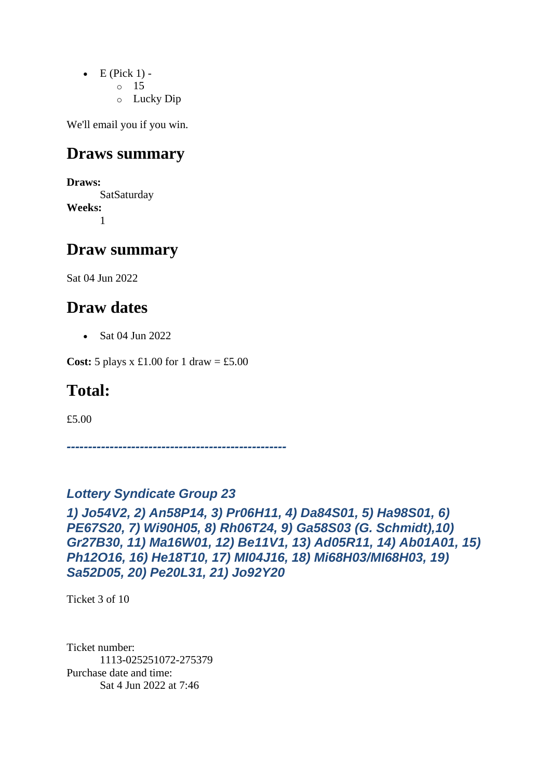- $\bullet$  E (Pick 1) -
	- $\circ$  15
	- o Lucky Dip

### **Draws summary**

**Draws:** SatSaturday **Weeks:** 1

### **Draw summary**

Sat 04 Jun 2022

### **Draw dates**

• Sat 04 Jun 2022

**Cost:** 5 plays x £1.00 for 1 draw = £5.00

### **Total:**

£5.00

*---------------------------------------------------*

#### *Lottery Syndicate Group 23*

*1) Jo54V2, 2) An58P14, 3) Pr06H11, 4) Da84S01, 5) Ha98S01, 6) PE67S20, 7) Wi90H05, 8) Rh06T24, 9) Ga58S03 (G. Schmidt),10) Gr27B30, 11) Ma16W01, 12) Be11V1, 13) Ad05R11, 14) Ab01A01, 15) Ph12O16, 16) He18T10, 17) MI04J16, 18) Mi68H03/MI68H03, 19) Sa52D05, 20) Pe20L31, 21) Jo92Y20*

Ticket 3 of 10

Ticket number: 1113-025251072-275379 Purchase date and time: Sat 4 Jun 2022 at 7:46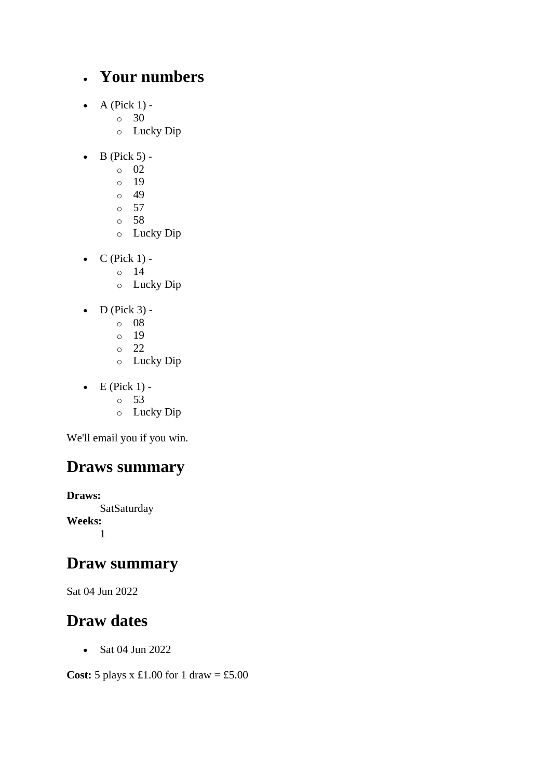### • **Your numbers**

- $\bullet$  A (Pick 1)
	- o 30
		- o Lucky Dip
- $\bullet$  B (Pick 5) -
	- $\circ$  02
	- o 19
	- $\circ$  49
	- o 57
	- o 58
	- o Lucky Dip
- $\bullet$  C (Pick 1) -
	- $\circ$  14
	- o Lucky Dip
- $\bullet$  D (Pick 3)
	- o 08
	- o 19
	- o 22
	- o Lucky Dip
- $\bullet$  E (Pick 1)
	- o 53
	- o Lucky Dip

We'll email you if you win.

## **Draws summary**

**Draws: SatSaturday Weeks:** 1

### **Draw summary**

Sat 04 Jun 2022

## **Draw dates**

• Sat 04 Jun 2022

**Cost:** 5 plays x £1.00 for 1 draw = £5.00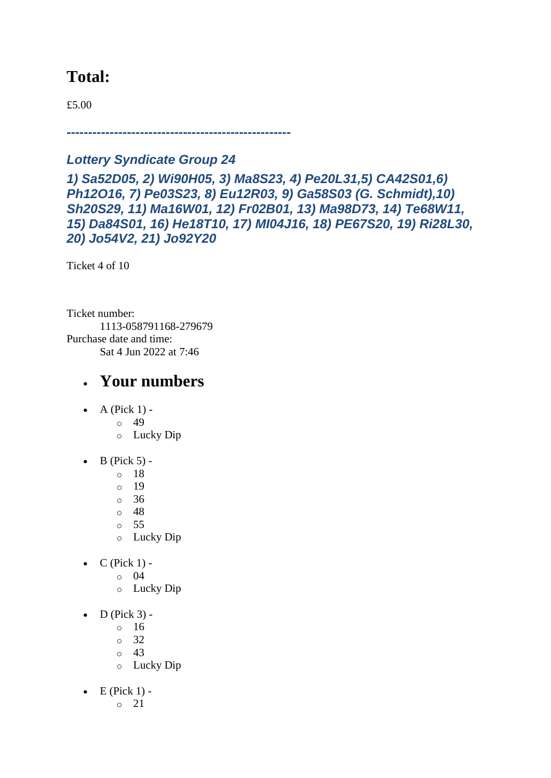### **Total:**

£5.00

*----------------------------------------------------*

#### *Lottery Syndicate Group 24*

*1) Sa52D05, 2) Wi90H05, 3) Ma8S23, 4) Pe20L31,5) CA42S01,6) Ph12O16, 7) Pe03S23, 8) Eu12R03, 9) Ga58S03 (G. Schmidt),10) Sh20S29, 11) Ma16W01, 12) Fr02B01, 13) Ma98D73, 14) Te68W11, 15) Da84S01, 16) He18T10, 17) MI04J16, 18) PE67S20, 19) Ri28L30, 20) Jo54V2, 21) Jo92Y20*

Ticket 4 of 10

Ticket number: 1113-058791168-279679 Purchase date and time: Sat 4 Jun 2022 at 7:46

- $\bullet$  A (Pick 1) -
	- $\circ$  49
		- o Lucky Dip
- $\bullet$  B (Pick 5)
	- o 18
	- o 19
	- o 36
	- o 48
	- o 55
	- o Lucky Dip
- $C$  (Pick 1) -
	- $\circ$  04
		- o Lucky Dip
- $\bullet$  D (Pick 3)
	- o 16
		- o 32
		- $\circ$  43
		- o Lucky Dip
- $\bullet$  E (Pick 1)
	- o 21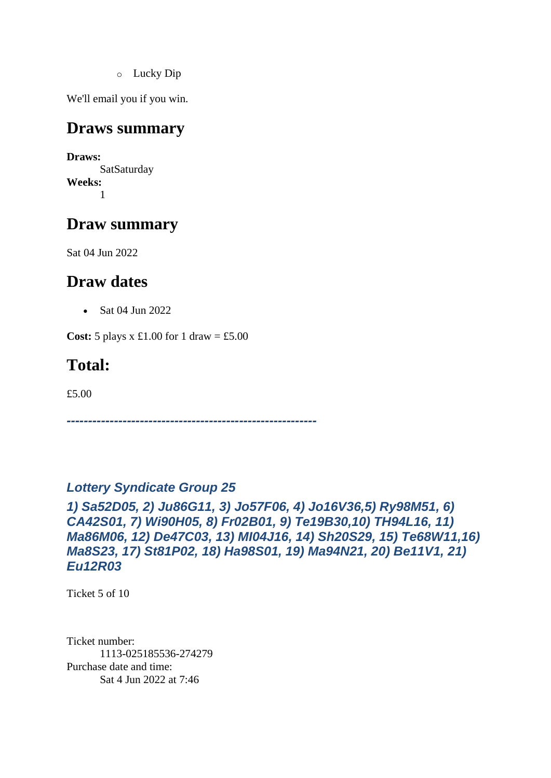o Lucky Dip

We'll email you if you win.

#### **Draws summary**

**Draws: SatSaturday Weeks:** 1

### **Draw summary**

Sat 04 Jun 2022

### **Draw dates**

• Sat 04 Jun 2022

**Cost:**  $5$  plays x £1.00 for 1 draw = £5.00

## **Total:**

£5.00

*----------------------------------------------------------*

#### *Lottery Syndicate Group 25*

*1) Sa52D05, 2) Ju86G11, 3) Jo57F06, 4) Jo16V36,5) Ry98M51, 6) CA42S01, 7) Wi90H05, 8) Fr02B01, 9) Te19B30,10) TH94L16, 11) Ma86M06, 12) De47C03, 13) MI04J16, 14) Sh20S29, 15) Te68W11,16) Ma8S23, 17) St81P02, 18) Ha98S01, 19) Ma94N21, 20) Be11V1, 21) Eu12R03*

Ticket 5 of 10

Ticket number: 1113-025185536-274279 Purchase date and time: Sat 4 Jun 2022 at 7:46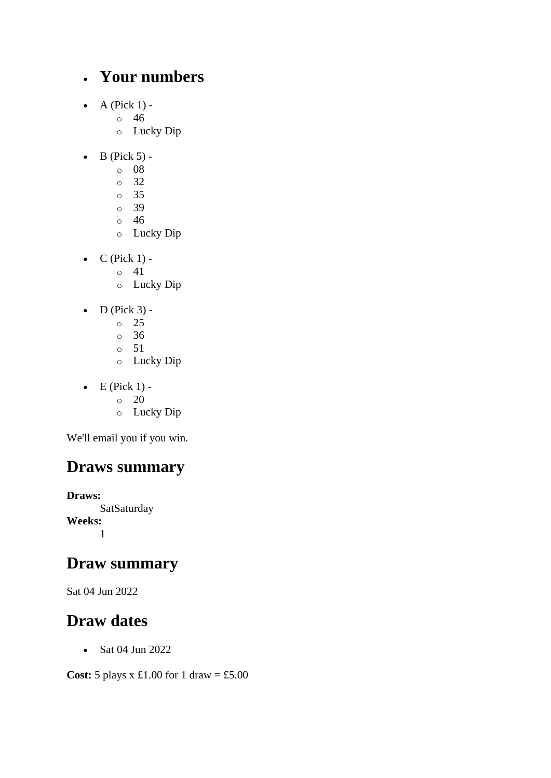### • **Your numbers**

- $\bullet$  A (Pick 1)
	- o 46
	- o Lucky Dip
- $\bullet$  B (Pick 5)
	- o 08
	- o 32
	- o 35
	- o 39
	- o 46
	- o Lucky Dip
- $\bullet$  C (Pick 1) -
	- $\circ$  41
	- o Lucky Dip
- $\bullet$  D (Pick 3) -
	- $\circ$  25
	- o 36
	- o 51
	- o Lucky Dip
- $\bullet$  E (Pick 1) -
	- $\circ$  20
	- o Lucky Dip

We'll email you if you win.

## **Draws summary**

**Draws: SatSaturday Weeks:** 1

### **Draw summary**

Sat 04 Jun 2022

## **Draw dates**

• Sat 04 Jun 2022

**Cost:** 5 plays x £1.00 for 1 draw = £5.00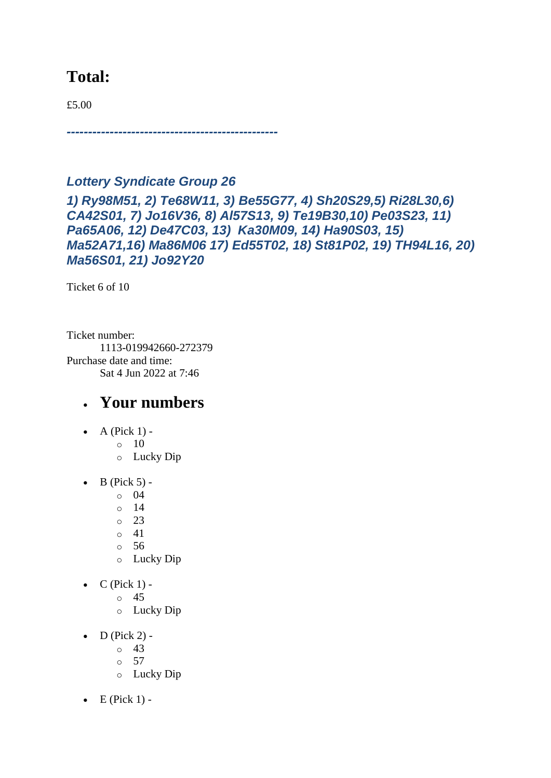### **Total:**

£5.00

*-------------------------------------------------*

#### *Lottery Syndicate Group 26*

*1) Ry98M51, 2) Te68W11, 3) Be55G77, 4) Sh20S29,5) Ri28L30,6) CA42S01, 7) Jo16V36, 8) Al57S13, 9) Te19B30,10) Pe03S23, 11) Pa65A06, 12) De47C03, 13) Ka30M09, 14) Ha90S03, 15) Ma52A71,16) Ma86M06 17) Ed55T02, 18) St81P02, 19) TH94L16, 20) Ma56S01, 21) Jo92Y20*

Ticket 6 of 10

Ticket number: 1113-019942660-272379 Purchase date and time: Sat 4 Jun 2022 at 7:46

- $\bullet$  A (Pick 1) -
	- $\circ$  10
		- o Lucky Dip
- $\bullet$  B (Pick 5)
	- o 04
	- o 14
	- $\circ$  23
	- o 41
	- o 56
	- o Lucky Dip
- $C$  (Pick 1)
	- o 45
	- o Lucky Dip
- $\bullet$  D (Pick 2)
	- o 43
	- o 57
	- o Lucky Dip
- $\bullet$  E (Pick 1) -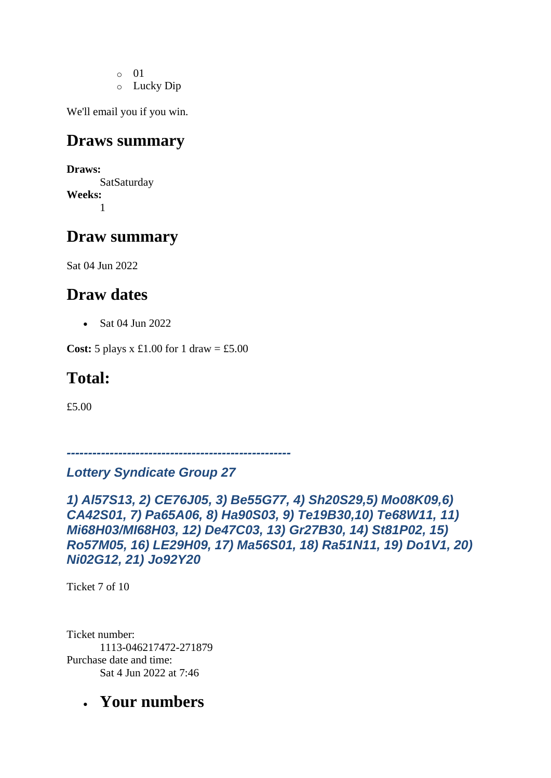- o 01
- o Lucky Dip

### **Draws summary**

**Draws: SatSaturday Weeks:** 1

## **Draw summary**

Sat 04 Jun 2022

### **Draw dates**

• Sat 04 Jun 2022

**Cost:**  $5$  plays x £1.00 for 1 draw = £5.00

## **Total:**

£5.00

*----------------------------------------------------*

#### *Lottery Syndicate Group 27*

*1) Al57S13, 2) CE76J05, 3) Be55G77, 4) Sh20S29,5) Mo08K09,6) CA42S01, 7) Pa65A06, 8) Ha90S03, 9) Te19B30,10) Te68W11, 11) Mi68H03/MI68H03, 12) De47C03, 13) Gr27B30, 14) St81P02, 15) Ro57M05, 16) LE29H09, 17) Ma56S01, 18) Ra51N11, 19) Do1V1, 20) Ni02G12, 21) Jo92Y20*

Ticket 7 of 10

Ticket number: 1113-046217472-271879 Purchase date and time: Sat 4 Jun 2022 at 7:46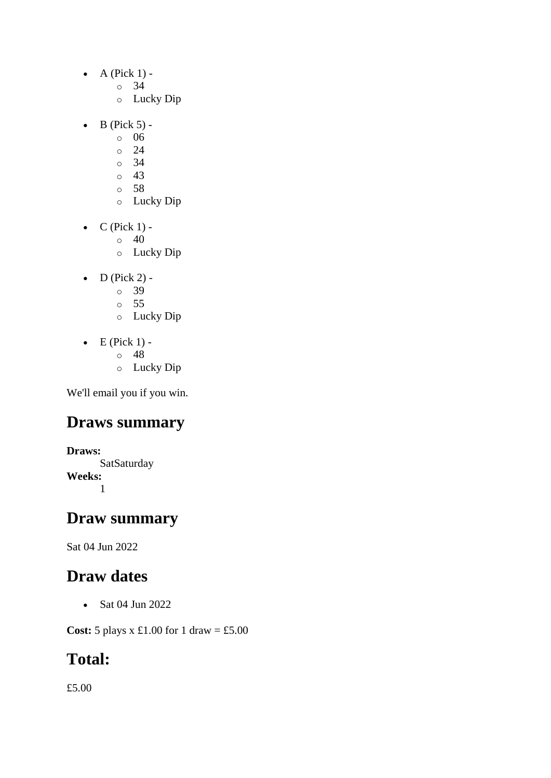- $\bullet$  A (Pick 1)
	- o 34
	- o Lucky Dip
- $\bullet$  B (Pick 5)
	- o 06
	- $\circ$  24
	- o 34
	- o 43
	- o 58 o Lucky Dip
	-
- $\bullet$  C (Pick 1) -
	- $\circ$  40
	- o Lucky Dip
- $\bullet$  D (Pick 2)
	- o 39
	- o 55
	- o Lucky Dip
- $\bullet$  E (Pick 1) -
	- $\circ$  48
	- o Lucky Dip

### **Draws summary**

**Draws: SatSaturday Weeks:** 1

#### **Draw summary**

Sat 04 Jun 2022

### **Draw dates**

• Sat 04 Jun 2022

**Cost:** 5 plays x £1.00 for 1 draw = £5.00

### **Total:**

£5.00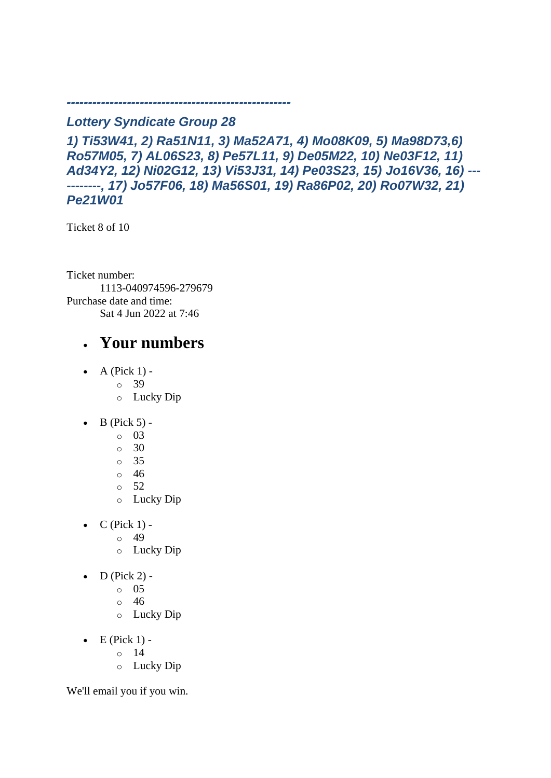#### *Lottery Syndicate Group 28*

*----------------------------------------------------*

*1) Ti53W41, 2) Ra51N11, 3) Ma52A71, 4) Mo08K09, 5) Ma98D73,6) Ro57M05, 7) AL06S23, 8) Pe57L11, 9) De05M22, 10) Ne03F12, 11) Ad34Y2, 12) Ni02G12, 13) Vi53J31, 14) Pe03S23, 15) Jo16V36, 16) --- --------, 17) Jo57F06, 18) Ma56S01, 19) Ra86P02, 20) Ro07W32, 21) Pe21W01*

Ticket 8 of 10

Ticket number: 1113-040974596-279679 Purchase date and time: Sat 4 Jun 2022 at 7:46

### • **Your numbers**

- $\bullet$  A (Pick 1)
	- o 39
		- o Lucky Dip
- $\bullet$  B (Pick 5) -
	- $\circ$  03
		- o 30
		- o 35
		- o 46
		- $\circ$  52
		- o Lucky Dip
- $C$  (Pick 1) -
	- $\circ$  49
	- o Lucky Dip
- $D$  (Pick 2) -
	- $\circ$  05
	- o 46
	- o Lucky Dip
- $\bullet$  E (Pick 1)
	- o 14
	- o Lucky Dip

We'll email you if you win.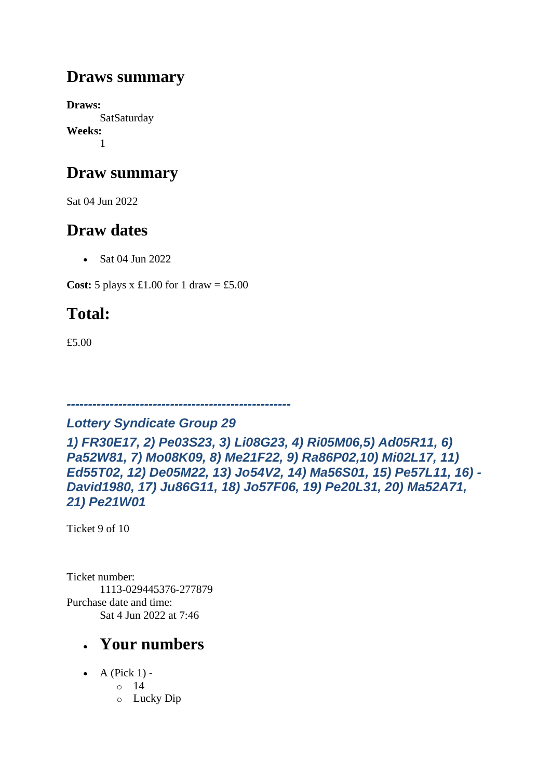## **Draws summary**

**Draws: SatSaturday Weeks:** 1

## **Draw summary**

Sat 04 Jun 2022

## **Draw dates**

• Sat 04 Jun 2022

**Cost:** 5 plays x £1.00 for 1 draw = £5.00

# **Total:**

£5.00

### *Lottery Syndicate Group 29*

*----------------------------------------------------*

*1) FR30E17, 2) Pe03S23, 3) Li08G23, 4) Ri05M06,5) Ad05R11, 6) Pa52W81, 7) Mo08K09, 8) Me21F22, 9) Ra86P02,10) Mi02L17, 11) Ed55T02, 12) De05M22, 13) Jo54V2, 14) Ma56S01, 15) Pe57L11, 16) - David1980, 17) Ju86G11, 18) Jo57F06, 19) Pe20L31, 20) Ma52A71, 21) Pe21W01*

Ticket 9 of 10

Ticket number: 1113-029445376-277879 Purchase date and time: Sat 4 Jun 2022 at 7:46

- A (Pick  $1$ ) -
	- $\circ$  14
	- o Lucky Dip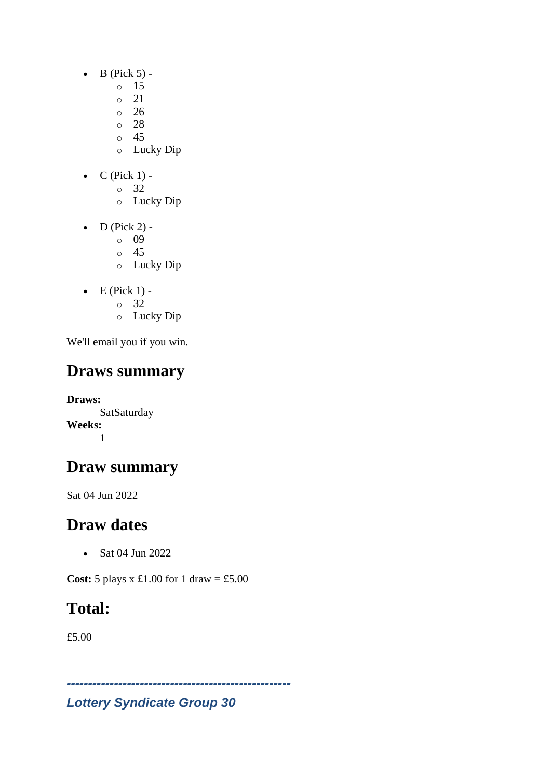- $\bullet$  B (Pick 5)
	- o 15
		- o 21
	- $\degree$  26
	- o 28
	- o 45
	- o Lucky Dip
- $C$  (Pick 1)
	- o 32
		- o Lucky Dip
- $\bullet$  D (Pick 2)
	- o 09
	- o 45
	- o Lucky Dip
- $\bullet$  E (Pick 1)
	- o 32
	- o Lucky Dip

# **Draws summary**

**Draws: SatSaturday Weeks:** 1

# **Draw summary**

Sat 04 Jun 2022

# **Draw dates**

• Sat 04 Jun 2022

**Cost:** 5 plays x £1.00 for 1 draw = £5.00

# **Total:**

£5.00

*Lottery Syndicate Group 30*

*----------------------------------------------------*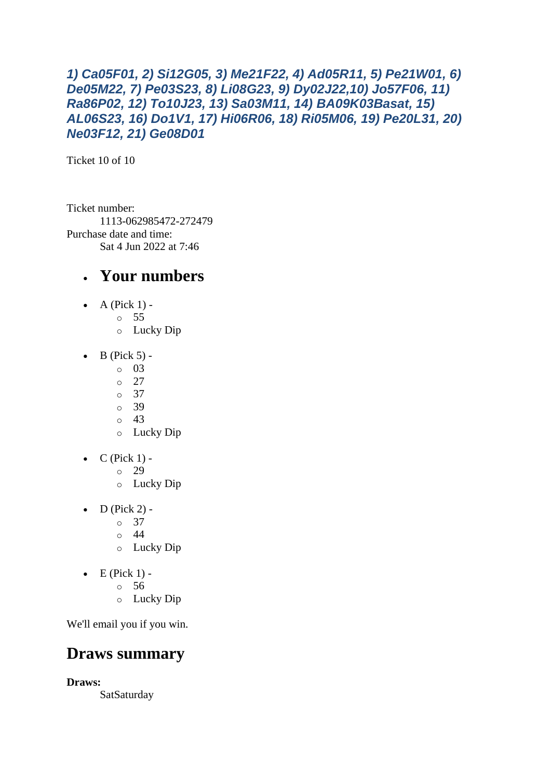```
1) Ca05F01, 2) Si12G05, 3) Me21F22, 4) Ad05R11, 5) Pe21W01, 6) 
De05M22, 7) Pe03S23, 8) Li08G23, 9) Dy02J22,10) Jo57F06, 11) 
Ra86P02, 12) To10J23, 13) Sa03M11, 14) BA09K03Basat, 15) 
AL06S23, 16) Do1V1, 17) Hi06R06, 18) Ri05M06, 19) Pe20L31, 20) 
Ne03F12, 21) Ge08D01
```
Ticket 10 of 10

Ticket number: 1113-062985472-272479 Purchase date and time: Sat 4 Jun 2022 at 7:46

### • **Your numbers**

- A (Pick  $1$ )
	- o 55
		- o Lucky Dip
- $\bullet$  B (Pick 5) -
	- $\circ$  03
		- $\degree$  27
		- o 37
		- o 39
		- o 43 o Lucky Dip
- $\bullet$  C (Pick 1)
	- o 29
	- o Lucky Dip
- $D$  (Pick 2)
	- o 37
	- $\circ$  44
	- o Lucky Dip
- $\bullet$  E (Pick 1)
	- o 56
	- o Lucky Dip

We'll email you if you win.

### **Draws summary**

**Draws:**

SatSaturday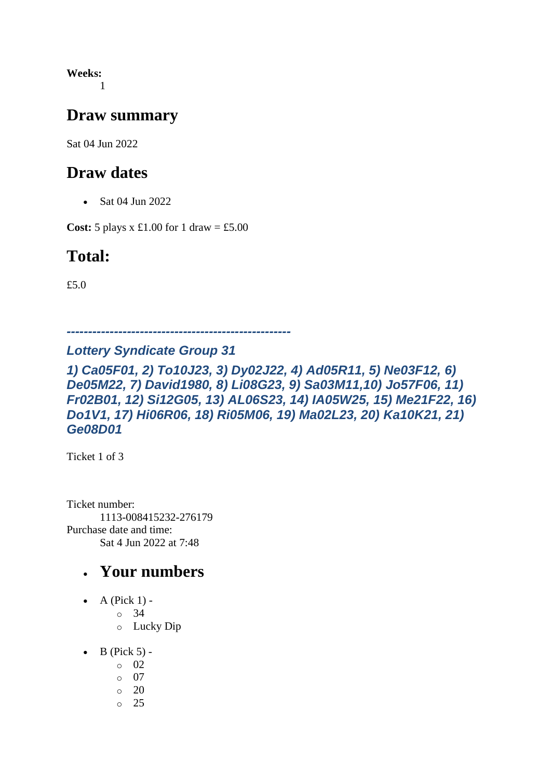**Weeks:** 1

### **Draw summary**

Sat 04 Jun 2022

### **Draw dates**

• Sat 04 Jun 2022

**Cost:** 5 plays x £1.00 for 1 draw = £5.00

## **Total:**

£5.0

*----------------------------------------------------*

#### *Lottery Syndicate Group 31*

*1) Ca05F01, 2) To10J23, 3) Dy02J22, 4) Ad05R11, 5) Ne03F12, 6) De05M22, 7) David1980, 8) Li08G23, 9) Sa03M11,10) Jo57F06, 11) Fr02B01, 12) Si12G05, 13) AL06S23, 14) IA05W25, 15) Me21F22, 16) Do1V1, 17) Hi06R06, 18) Ri05M06, 19) Ma02L23, 20) Ka10K21, 21) Ge08D01*

Ticket 1 of 3

Ticket number: 1113-008415232-276179 Purchase date and time: Sat 4 Jun 2022 at 7:48

- A (Pick  $1$ )
	- o 34
	- o Lucky Dip
- $\bullet$  B (Pick 5) -
	- $\circ$  02
	- o 07
	- $\circ$  20
	- o 25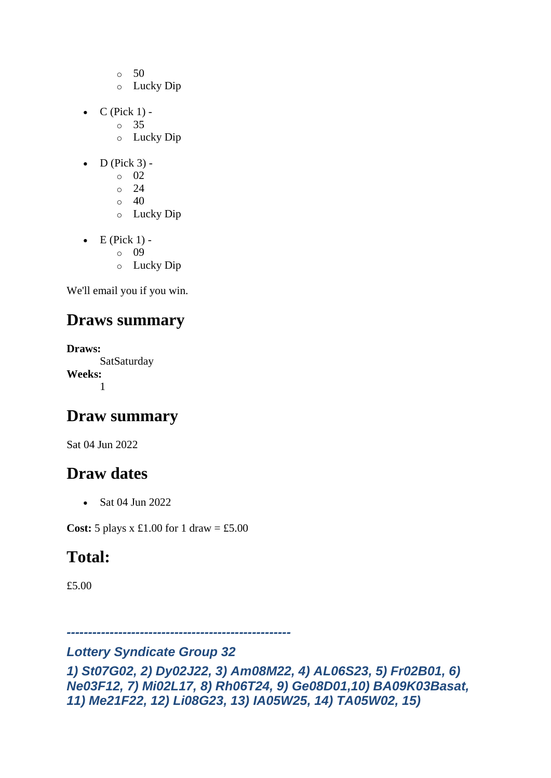- $\circ$  50
- o Lucky Dip
- $C$  (Pick 1)
	- o 35
		- o Lucky Dip
- $\bullet$  D (Pick 3)
	- o 02
		- o 24
		- $\circ$  40 o Lucky Dip
- $\bullet$  E (Pick 1)
	- o 09
	- o Lucky Dip

## **Draws summary**

**Draws:** SatSaturday **Weeks:** 1

## **Draw summary**

Sat 04 Jun 2022

## **Draw dates**

• Sat 04 Jun 2022

**Cost:**  $5$  plays x £1.00 for 1 draw = £5.00

## **Total:**

£5.00

*----------------------------------------------------*

#### *Lottery Syndicate Group 32*

*1) St07G02, 2) Dy02J22, 3) Am08M22, 4) AL06S23, 5) Fr02B01, 6) Ne03F12, 7) Mi02L17, 8) Rh06T24, 9) Ge08D01,10) BA09K03Basat, 11) Me21F22, 12) Li08G23, 13) IA05W25, 14) TA05W02, 15)*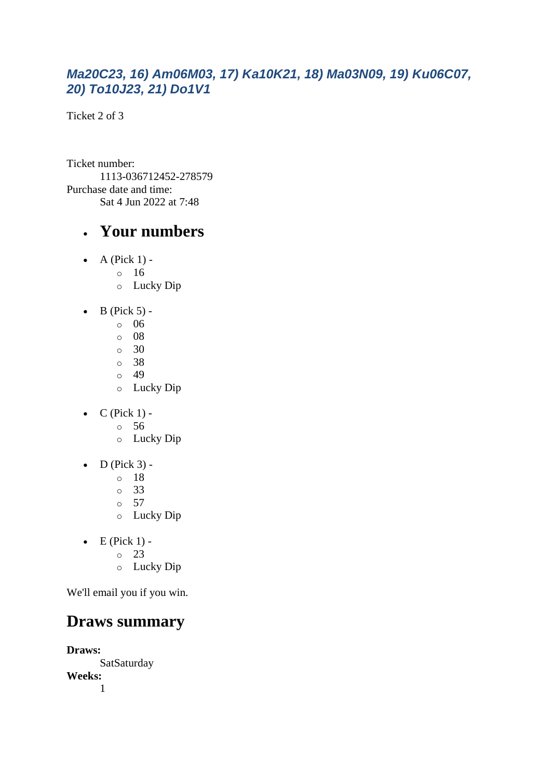#### *Ma20C23, 16) Am06M03, 17) Ka10K21, 18) Ma03N09, 19) Ku06C07, 20) To10J23, 21) Do1V1*

Ticket 2 of 3

Ticket number: 1113-036712452-278579 Purchase date and time: Sat 4 Jun 2022 at 7:48

### • **Your numbers**

- $\bullet$  A (Pick 1)
	- o 16
		- o Lucky Dip
- $\bullet$  B (Pick 5)
	- o 06
	- o 08
	- o 30
	- o 38
	- $\circ$  49
	- o Lucky Dip
- $\bullet$  C (Pick 1)
	- o 56
	- o Lucky Dip
- $\bullet$  D (Pick 3)
	- o 18
	- o 33
	- o 57
	- o Lucky Dip
- $\bullet$  E (Pick 1)
	- o 23
	- o Lucky Dip

We'll email you if you win.

### **Draws summary**

**Draws: SatSaturday Weeks:** 1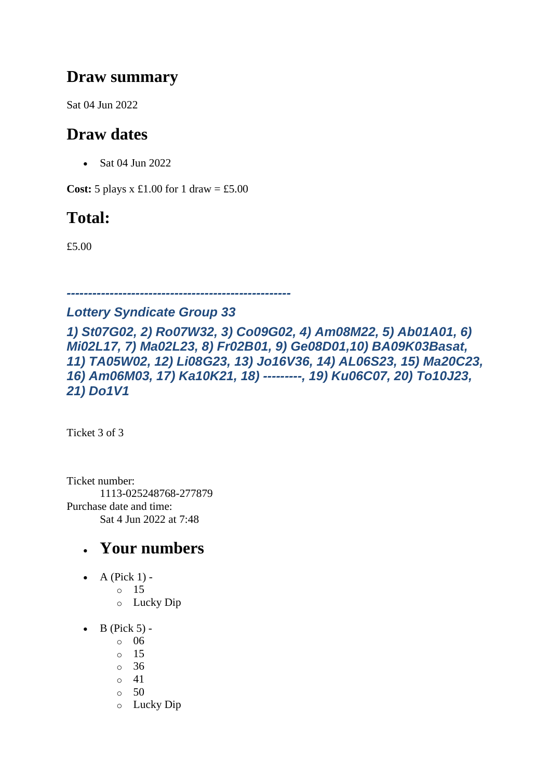### **Draw summary**

Sat 04 Jun 2022

## **Draw dates**

• Sat 04 Jun 2022

**Cost:**  $5$  plays x £1.00 for 1 draw = £5.00

## **Total:**

£5.00

*----------------------------------------------------*

#### *Lottery Syndicate Group 33*

*1) St07G02, 2) Ro07W32, 3) Co09G02, 4) Am08M22, 5) Ab01A01, 6) Mi02L17, 7) Ma02L23, 8) Fr02B01, 9) Ge08D01,10) BA09K03Basat, 11) TA05W02, 12) Li08G23, 13) Jo16V36, 14) AL06S23, 15) Ma20C23, 16) Am06M03, 17) Ka10K21, 18) ---------, 19) Ku06C07, 20) To10J23, 21) Do1V1*

Ticket 3 of 3

Ticket number: 1113-025248768-277879 Purchase date and time: Sat 4 Jun 2022 at 7:48

- A (Pick  $1$ )
	- o 15
	- o Lucky Dip
- $\bullet$  B (Pick 5)
	- o 06
	- o 15
	- $\circ$  36
	- $\circ$  41
	- $\circ$  50
	- o Lucky Dip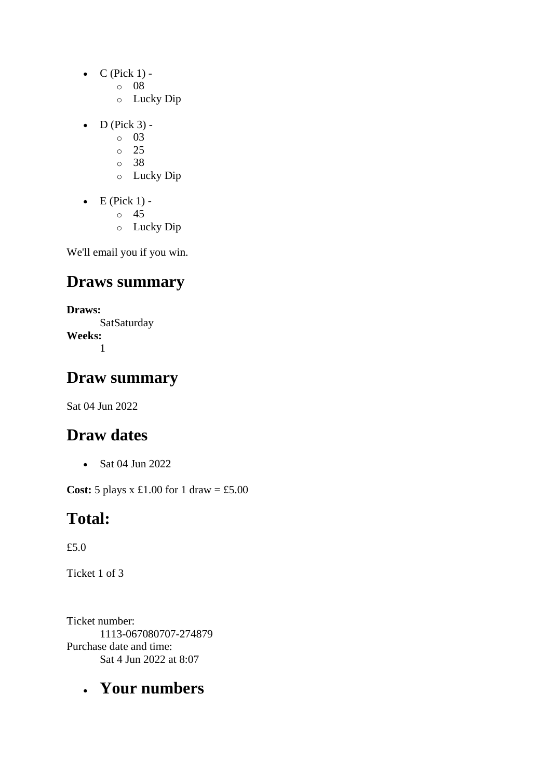- $\bullet$  C (Pick 1)
	- o 08
	- o Lucky Dip
- $\bullet$  D (Pick 3) -
	- $\circ$  03
	- o 25
	- o 38
	- o Lucky Dip
- $\bullet$  E (Pick 1)
	- o 45
	- o Lucky Dip

### **Draws summary**

**Draws: SatSaturday Weeks:** 1

### **Draw summary**

Sat 04 Jun 2022

### **Draw dates**

• Sat 04 Jun 2022

**Cost:**  $5$  plays x  $\pounds1.00$  for  $1$  draw =  $\pounds5.00$ 

### **Total:**

£5.0

Ticket 1 of 3

Ticket number: 1113-067080707-274879 Purchase date and time: Sat 4 Jun 2022 at 8:07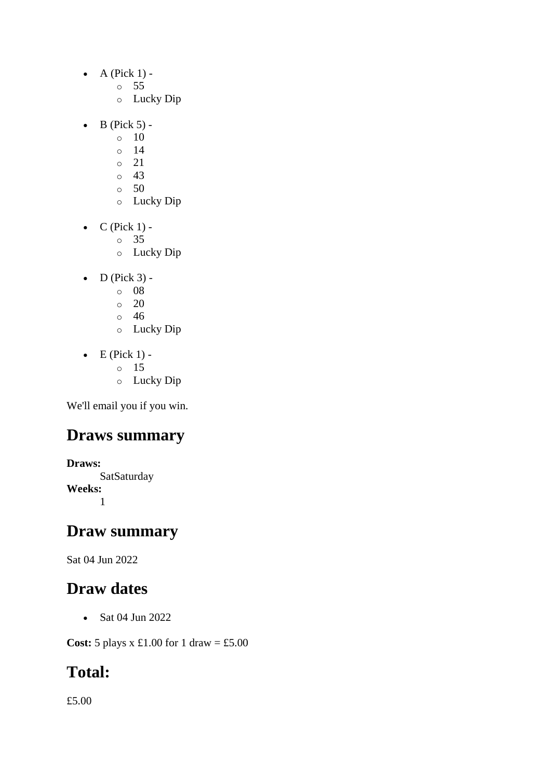- $\bullet$  A (Pick 1)
	- o 55
	- o Lucky Dip
- $\bullet$  B (Pick 5) -
	- $\circ$  10
	- o 14
	- o 21
	- $\circ$  43
	- $\circ$  50
	- o Lucky Dip
- $\bullet$  C (Pick 1)
	- o 35
	- o Lucky Dip
- $\bullet$  D (Pick 3)
	- o 08
	- $\circ$  20
	- o 46
	- o Lucky Dip
- $\bullet$  E (Pick 1)
	- o 15
		- o Lucky Dip

### **Draws summary**

**Draws: SatSaturday Weeks:** 1

### **Draw summary**

Sat 04 Jun 2022

### **Draw dates**

• Sat 04 Jun 2022

**Cost:** 5 plays x £1.00 for 1 draw = £5.00

## **Total:**

£5.00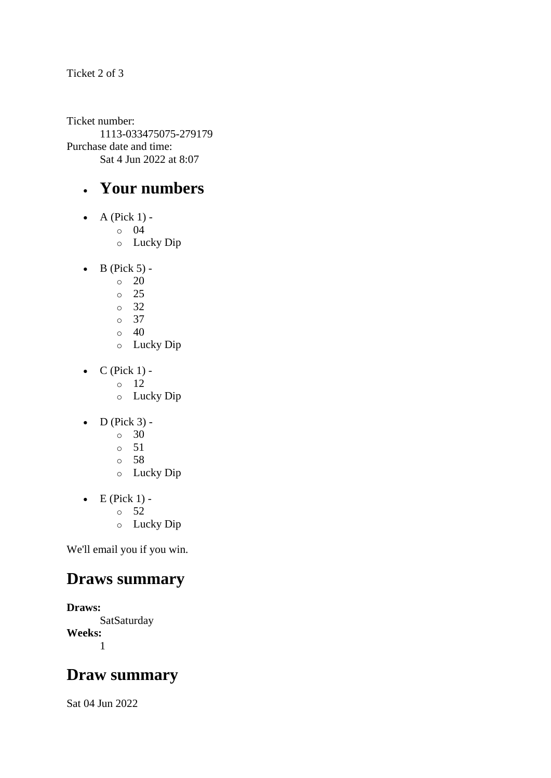Ticket 2 of 3

Ticket number: 1113-033475075-279179 Purchase date and time: Sat 4 Jun 2022 at 8:07

### • **Your numbers**

- $\bullet$  A (Pick 1)
	- o 04
	- o Lucky Dip
- $\bullet$  B (Pick 5) -
	- $\circ$  20
	- o 25
	- o 32
	- $\circ$  37
	- $\circ$  40
	- o Lucky Dip
- $\bullet$  C (Pick 1)
	- o 12
		- o Lucky Dip
- $\bullet$  D (Pick 3) -
	- $\circ$  30
	- o 51
	- o 58
	- o Lucky Dip
- $\bullet$  E (Pick 1) -
	- $\circ$  52
	- o Lucky Dip

We'll email you if you win.

### **Draws summary**

**Draws: SatSaturday Weeks:** 1

### **Draw summary**

Sat 04 Jun 2022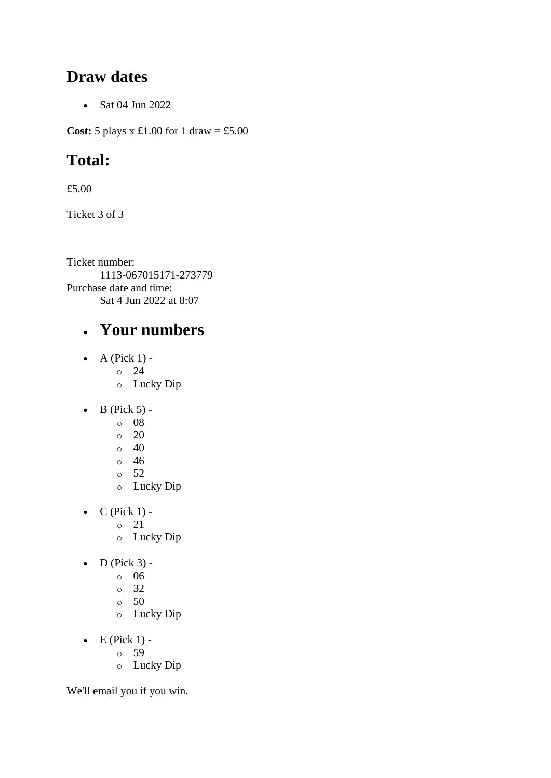### **Draw dates**

• Sat 04 Jun 2022

**Cost:**  $5$  plays x  $\pounds1.00$  for  $1$  draw =  $\pounds5.00$ 

## **Total:**

£5.00

Ticket 3 of 3

Ticket number: 1113-067015171-273779 Purchase date and time: Sat 4 Jun 2022 at 8:07

## • **Your numbers**

- $\bullet$  A (Pick 1)
	- o 24
	- o Lucky Dip
- $\bullet$  B (Pick 5)
	- o 08
	- $\circ$  20
	- $\circ$  40
	- o 46
	- o 52
	- o Lucky Dip
- $\bullet$  C (Pick 1)
	- o 21
	- o Lucky Dip
- $\bullet$  D (Pick 3) -
	- $\circ$  06
	- o 32
	- o 50
	- o Lucky Dip
- $\bullet$  E (Pick 1)
	- o 59
	- o Lucky Dip

We'll email you if you win.